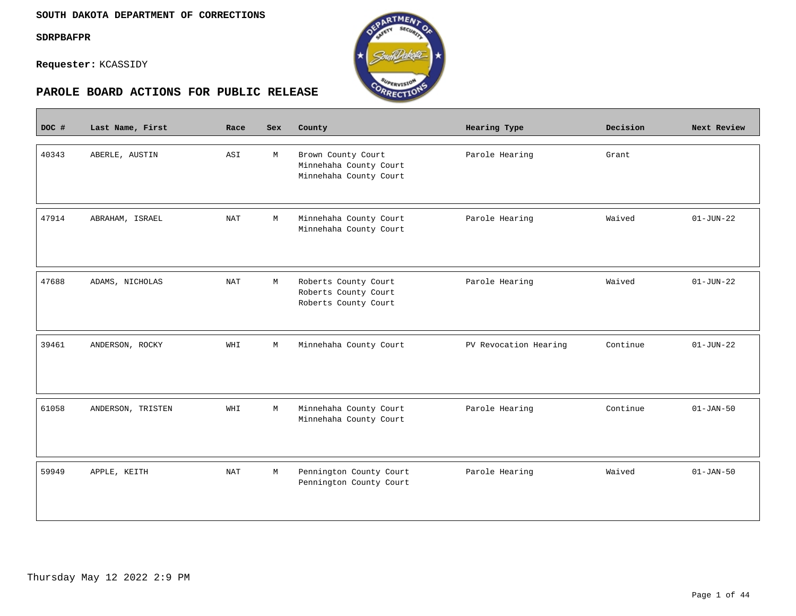$\mathcal{L}^{\text{max}}_{\text{max}}$ 

**Requester:** KCASSIDY



| DOC # | Last Name, First  | Race       | Sex | County                                                                 | Hearing Type          | Decision | Next Review     |
|-------|-------------------|------------|-----|------------------------------------------------------------------------|-----------------------|----------|-----------------|
| 40343 | ABERLE, AUSTIN    | ASI        | М   | Brown County Court<br>Minnehaha County Court<br>Minnehaha County Court | Parole Hearing        | Grant    |                 |
| 47914 | ABRAHAM, ISRAEL   | <b>NAT</b> | M   | Minnehaha County Court<br>Minnehaha County Court                       | Parole Hearing        | Waived   | $01 - JUN - 22$ |
| 47688 | ADAMS, NICHOLAS   | <b>NAT</b> | М   | Roberts County Court<br>Roberts County Court<br>Roberts County Court   | Parole Hearing        | Waived   | $01 - JUN - 22$ |
| 39461 | ANDERSON, ROCKY   | WHI        | M   | Minnehaha County Court                                                 | PV Revocation Hearing | Continue | $01 - JUN - 22$ |
| 61058 | ANDERSON, TRISTEN | WHI        | М   | Minnehaha County Court<br>Minnehaha County Court                       | Parole Hearing        | Continue | $01 - JAN - 50$ |
| 59949 | APPLE, KEITH      | <b>NAT</b> | М   | Pennington County Court<br>Pennington County Court                     | Parole Hearing        | Waived   | $01 - JAN - 50$ |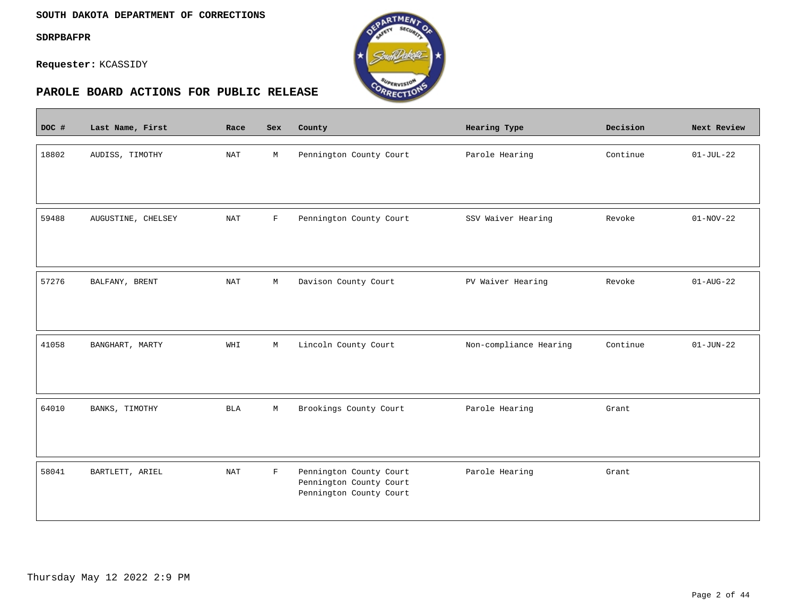$\overline{\phantom{a}}$ 

**Requester:** KCASSIDY



| DOC # | Last Name, First   | Race                 | Sex         | County                                                                        | Hearing Type           | Decision | Next Review     |
|-------|--------------------|----------------------|-------------|-------------------------------------------------------------------------------|------------------------|----------|-----------------|
| 18802 | AUDISS, TIMOTHY    | NAT                  | М           | Pennington County Court                                                       | Parole Hearing         | Continue | $01-JUL-22$     |
| 59488 | AUGUSTINE, CHELSEY | $\operatorname{NAT}$ | $\mathbf F$ | Pennington County Court                                                       | SSV Waiver Hearing     | Revoke   | $01-NOV-22$     |
| 57276 | BALFANY, BRENT     | NAT                  | M           | Davison County Court                                                          | PV Waiver Hearing      | Revoke   | $01 - AUG - 22$ |
| 41058 | BANGHART, MARTY    | WHI                  | М           | Lincoln County Court                                                          | Non-compliance Hearing | Continue | $01 - JUN - 22$ |
| 64010 | BANKS, TIMOTHY     | <b>BLA</b>           | М           | Brookings County Court                                                        | Parole Hearing         | Grant    |                 |
| 58041 | BARTLETT, ARIEL    | <b>NAT</b>           | F           | Pennington County Court<br>Pennington County Court<br>Pennington County Court | Parole Hearing         | Grant    |                 |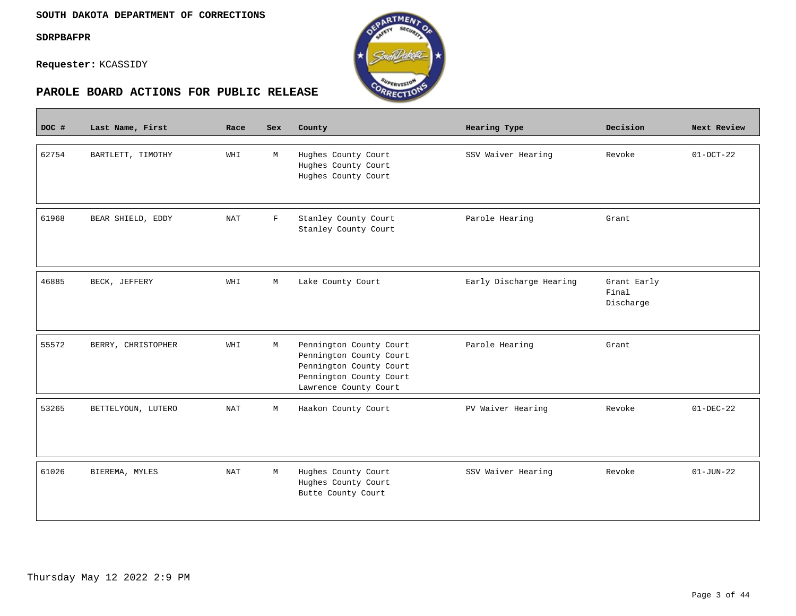$\overline{\phantom{a}}$ 

**Requester:** KCASSIDY



| DOC # | Last Name, First   | Race       | Sex         | County                                                                                                                            | <b>Hearing Type</b>     | Decision                          | Next Review     |
|-------|--------------------|------------|-------------|-----------------------------------------------------------------------------------------------------------------------------------|-------------------------|-----------------------------------|-----------------|
| 62754 | BARTLETT, TIMOTHY  | WHI        | М           | Hughes County Court<br>Hughes County Court<br>Hughes County Court                                                                 | SSV Waiver Hearing      | Revoke                            | $01 - OCT - 22$ |
| 61968 | BEAR SHIELD, EDDY  | <b>NAT</b> | $\mathbf F$ | Stanley County Court<br>Stanley County Court                                                                                      | Parole Hearing          | Grant                             |                 |
| 46885 | BECK, JEFFERY      | WHI        | М           | Lake County Court                                                                                                                 | Early Discharge Hearing | Grant Early<br>Final<br>Discharge |                 |
| 55572 | BERRY, CHRISTOPHER | WHI        | $\mathbb M$ | Pennington County Court<br>Pennington County Court<br>Pennington County Court<br>Pennington County Court<br>Lawrence County Court | Parole Hearing          | Grant                             |                 |
| 53265 | BETTELYOUN, LUTERO | <b>NAT</b> | М           | Haakon County Court                                                                                                               | PV Waiver Hearing       | Revoke                            | $01-DEC-22$     |
| 61026 | BIEREMA, MYLES     | <b>NAT</b> | М           | Hughes County Court<br>Hughes County Court<br>Butte County Court                                                                  | SSV Waiver Hearing      | Revoke                            | $01 - JUN - 22$ |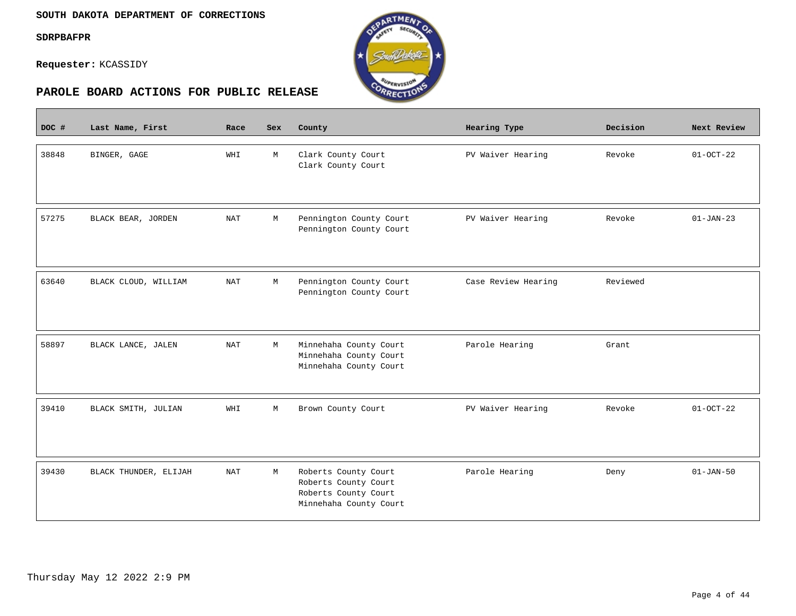$\mathcal{L}^{\text{max}}_{\text{max}}$ 

**Requester:** KCASSIDY



| DOC # | Last Name, First      | Race       | Sex | County                                                                                         | Hearing Type        | Decision | Next Review     |
|-------|-----------------------|------------|-----|------------------------------------------------------------------------------------------------|---------------------|----------|-----------------|
| 38848 | BINGER, GAGE          | WHI        | М   | Clark County Court<br>Clark County Court                                                       | PV Waiver Hearing   | Revoke   | $01-0CT-22$     |
| 57275 | BLACK BEAR, JORDEN    | <b>NAT</b> | М   | Pennington County Court<br>Pennington County Court                                             | PV Waiver Hearing   | Revoke   | $01 - JAN - 23$ |
| 63640 | BLACK CLOUD, WILLIAM  | <b>NAT</b> | М   | Pennington County Court<br>Pennington County Court                                             | Case Review Hearing | Reviewed |                 |
| 58897 | BLACK LANCE, JALEN    | <b>NAT</b> | М   | Minnehaha County Court<br>Minnehaha County Court<br>Minnehaha County Court                     | Parole Hearing      | Grant    |                 |
| 39410 | BLACK SMITH, JULIAN   | WHI        | М   | Brown County Court                                                                             | PV Waiver Hearing   | Revoke   | $01-0CT-22$     |
| 39430 | BLACK THUNDER, ELIJAH | <b>NAT</b> | М   | Roberts County Court<br>Roberts County Court<br>Roberts County Court<br>Minnehaha County Court | Parole Hearing      | Deny     | $01 - JAN - 50$ |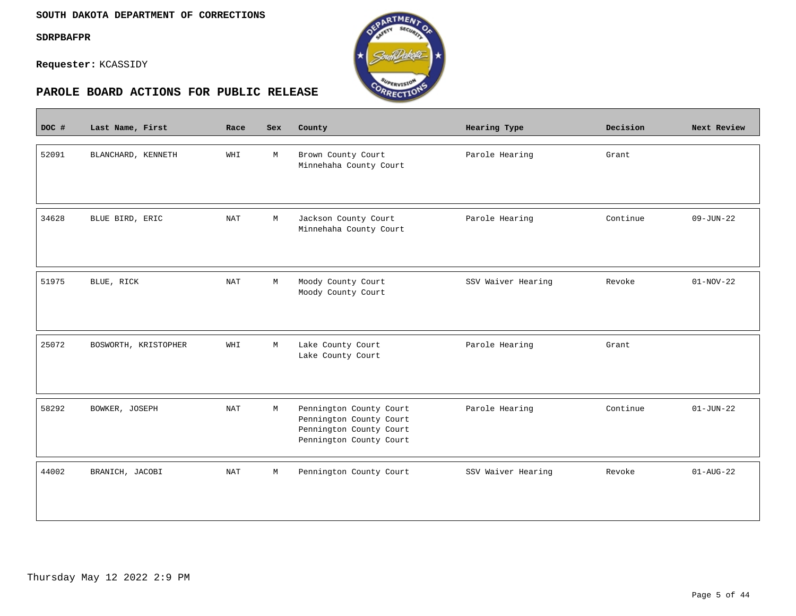$\overline{\phantom{a}}$ 

**Requester:** KCASSIDY



| DOC # | Last Name, First     | Race       | Sex         | County                                                                                                   | Hearing Type       | Decision | Next Review     |
|-------|----------------------|------------|-------------|----------------------------------------------------------------------------------------------------------|--------------------|----------|-----------------|
| 52091 | BLANCHARD, KENNETH   | WHI        | М           | Brown County Court<br>Minnehaha County Court                                                             | Parole Hearing     | Grant    |                 |
| 34628 | BLUE BIRD, ERIC      | <b>NAT</b> | M           | Jackson County Court<br>Minnehaha County Court                                                           | Parole Hearing     | Continue | $09 - JUN - 22$ |
| 51975 | BLUE, RICK           | <b>NAT</b> | М           | Moody County Court<br>Moody County Court                                                                 | SSV Waiver Hearing | Revoke   | $01-NOV-22$     |
| 25072 | BOSWORTH, KRISTOPHER | WHI        | M           | Lake County Court<br>Lake County Court                                                                   | Parole Hearing     | Grant    |                 |
| 58292 | BOWKER, JOSEPH       | <b>NAT</b> | М           | Pennington County Court<br>Pennington County Court<br>Pennington County Court<br>Pennington County Court | Parole Hearing     | Continue | $01 - JUN - 22$ |
| 44002 | BRANICH, JACOBI      | <b>NAT</b> | $\mathbb M$ | Pennington County Court                                                                                  | SSV Waiver Hearing | Revoke   | $01 - AUG - 22$ |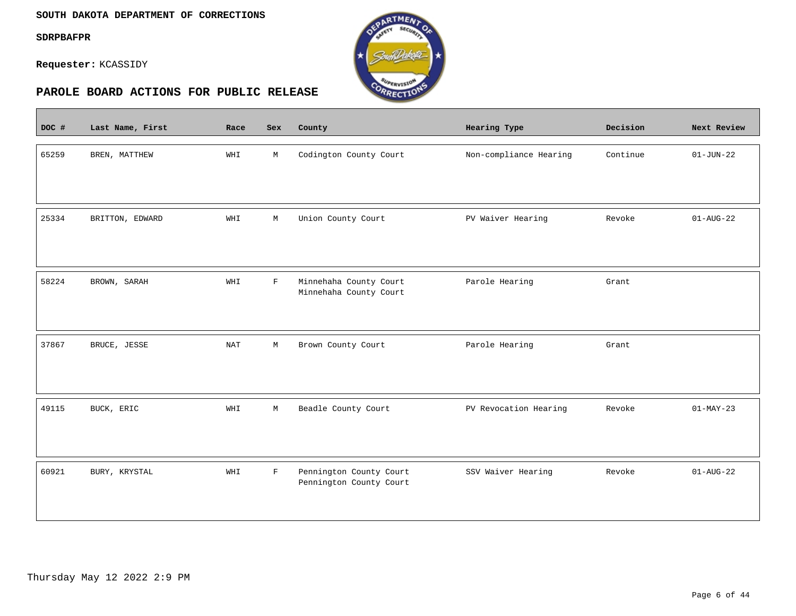$\overline{\phantom{a}}$ 

**Requester:** KCASSIDY



| DOC # | Last Name, First | Race       | Sex         | County                                             | Hearing Type           | Decision | Next Review     |
|-------|------------------|------------|-------------|----------------------------------------------------|------------------------|----------|-----------------|
| 65259 | BREN, MATTHEW    | WHI        | М           | Codington County Court                             | Non-compliance Hearing | Continue | $01 - JUN - 22$ |
| 25334 | BRITTON, EDWARD  | WHI        | М           | Union County Court                                 | PV Waiver Hearing      | Revoke   | $01 - AUG - 22$ |
| 58224 | BROWN, SARAH     | WHI        | $\mathbf F$ | Minnehaha County Court<br>Minnehaha County Court   | Parole Hearing         | Grant    |                 |
| 37867 | BRUCE, JESSE     | <b>NAT</b> | $\mathbb M$ | Brown County Court                                 | Parole Hearing         | Grant    |                 |
| 49115 | BUCK, ERIC       | WHI        | M           | Beadle County Court                                | PV Revocation Hearing  | Revoke   | $01-MAY-23$     |
| 60921 | BURY, KRYSTAL    | WHI        | F           | Pennington County Court<br>Pennington County Court | SSV Waiver Hearing     | Revoke   | $01 - AUG - 22$ |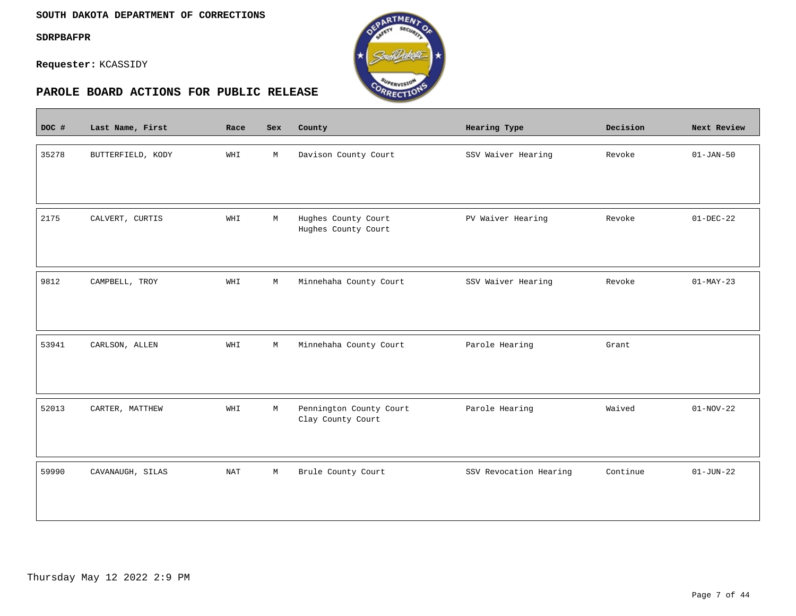$\overline{\phantom{a}}$ 

**Requester:** KCASSIDY



| DOC # | Last Name, First  | Race       | Sex         | County                                       | Hearing Type           | Decision | Next Review     |
|-------|-------------------|------------|-------------|----------------------------------------------|------------------------|----------|-----------------|
| 35278 | BUTTERFIELD, KODY | WHI        | М           | Davison County Court                         | SSV Waiver Hearing     | Revoke   | $01 - JAN - 50$ |
| 2175  | CALVERT, CURTIS   | WHI        | M           | Hughes County Court<br>Hughes County Court   | PV Waiver Hearing      | Revoke   | $01-DEC-22$     |
| 9812  | CAMPBELL, TROY    | WHI        | M           | Minnehaha County Court                       | SSV Waiver Hearing     | Revoke   | $01-MAY-23$     |
| 53941 | CARLSON, ALLEN    | WHI        | $\mathbb M$ | Minnehaha County Court                       | Parole Hearing         | Grant    |                 |
| 52013 | CARTER, MATTHEW   | WHI        | М           | Pennington County Court<br>Clay County Court | Parole Hearing         | Waived   | $01-NOV-22$     |
| 59990 | CAVANAUGH, SILAS  | <b>NAT</b> | М           | Brule County Court                           | SSV Revocation Hearing | Continue | $01 - JUN - 22$ |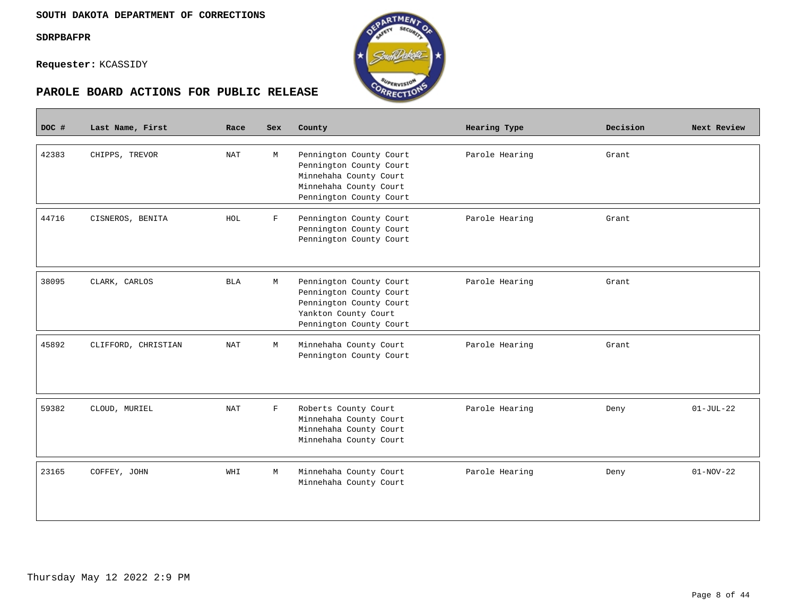$\overline{\phantom{a}}$ 

**Requester:** KCASSIDY



# **PAROLE BOARD ACTIONS FOR PUBLIC RELEASE**

| DOC # | Last Name, First    | Race       | Sex         | County                                                                                                                            | Hearing Type   | Decision | Next Review     |
|-------|---------------------|------------|-------------|-----------------------------------------------------------------------------------------------------------------------------------|----------------|----------|-----------------|
| 42383 | CHIPPS, TREVOR      | <b>NAT</b> | M           | Pennington County Court<br>Pennington County Court<br>Minnehaha County Court<br>Minnehaha County Court<br>Pennington County Court | Parole Hearing | Grant    |                 |
| 44716 | CISNEROS, BENITA    | HOL        | F           | Pennington County Court<br>Pennington County Court<br>Pennington County Court                                                     | Parole Hearing | Grant    |                 |
| 38095 | CLARK, CARLOS       | <b>BLA</b> | M           | Pennington County Court<br>Pennington County Court<br>Pennington County Court<br>Yankton County Court<br>Pennington County Court  | Parole Hearing | Grant    |                 |
| 45892 | CLIFFORD, CHRISTIAN | <b>NAT</b> | M           | Minnehaha County Court<br>Pennington County Court                                                                                 | Parole Hearing | Grant    |                 |
| 59382 | CLOUD, MURIEL       | <b>NAT</b> | $\mathbf F$ | Roberts County Court<br>Minnehaha County Court<br>Minnehaha County Court<br>Minnehaha County Court                                | Parole Hearing | Deny     | $01 - JUL - 22$ |
| 23165 | COFFEY, JOHN        | WHI        | M           | Minnehaha County Court<br>Minnehaha County Court                                                                                  | Parole Hearing | Deny     | $01-NOV-22$     |

RTMEN

ORRECTION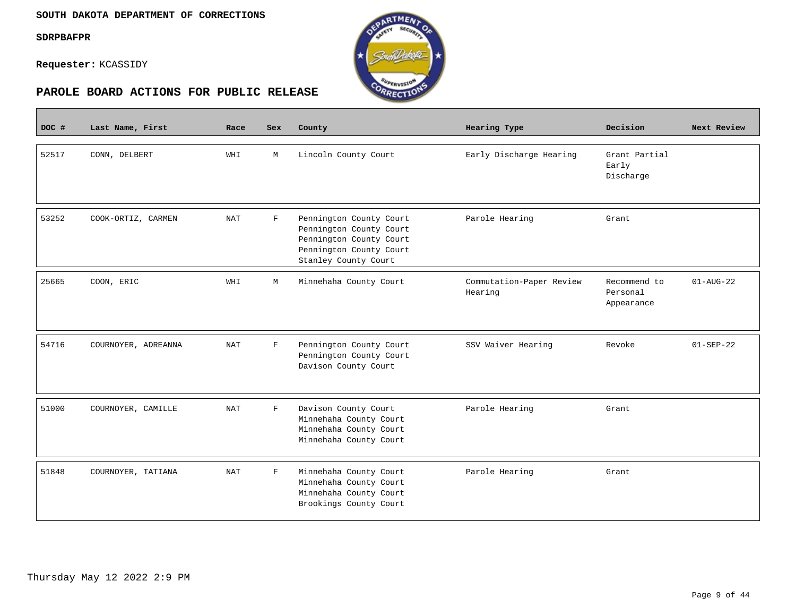$\overline{\phantom{a}}$ 

**Requester:** KCASSIDY



| DOC # | Last Name, First    | Race       | Sex          | County                                                                                                                           | Hearing Type                        | Decision                               | Next Review     |
|-------|---------------------|------------|--------------|----------------------------------------------------------------------------------------------------------------------------------|-------------------------------------|----------------------------------------|-----------------|
| 52517 | CONN, DELBERT       | WHI        | M            | Lincoln County Court                                                                                                             | Early Discharge Hearing             | Grant Partial<br>Early<br>Discharge    |                 |
| 53252 | COOK-ORTIZ, CARMEN  | <b>NAT</b> | $\mathbf{F}$ | Pennington County Court<br>Pennington County Court<br>Pennington County Court<br>Pennington County Court<br>Stanley County Court | Parole Hearing                      | Grant                                  |                 |
| 25665 | COON, ERIC          | WHI        | М            | Minnehaha County Court                                                                                                           | Commutation-Paper Review<br>Hearing | Recommend to<br>Personal<br>Appearance | $01 - AUG - 22$ |
| 54716 | COURNOYER, ADREANNA | <b>NAT</b> | $\mathbf F$  | Pennington County Court<br>Pennington County Court<br>Davison County Court                                                       | SSV Waiver Hearing                  | Revoke                                 | $01-SEP-22$     |
| 51000 | COURNOYER, CAMILLE  | <b>NAT</b> | F            | Davison County Court<br>Minnehaha County Court<br>Minnehaha County Court<br>Minnehaha County Court                               | Parole Hearing                      | Grant                                  |                 |
| 51848 | COURNOYER, TATIANA  | <b>NAT</b> | F            | Minnehaha County Court<br>Minnehaha County Court<br>Minnehaha County Court<br>Brookings County Court                             | Parole Hearing                      | Grant                                  |                 |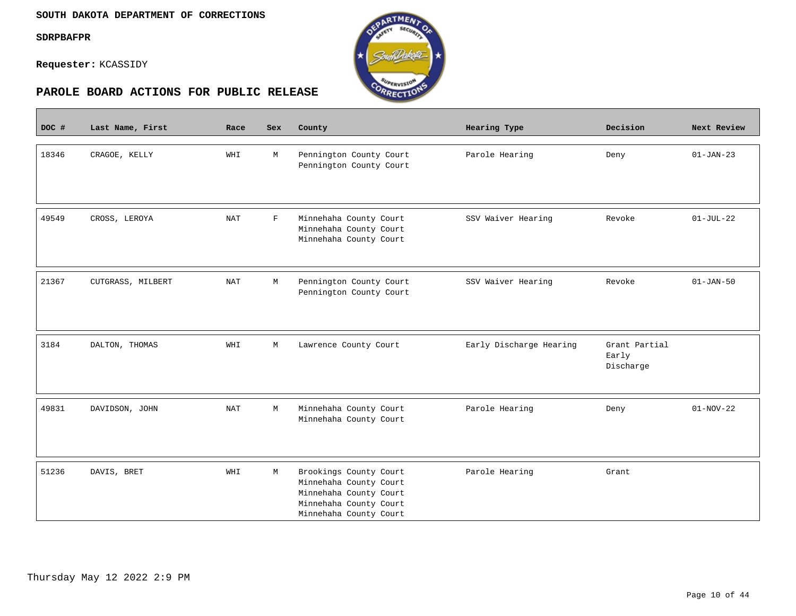$\overline{\phantom{a}}$ 

**Requester:** KCASSIDY



| DOC # | Last Name, First  | Race       | Sex         | County                                                                                                                         | Hearing Type            | Decision                            | Next Review     |
|-------|-------------------|------------|-------------|--------------------------------------------------------------------------------------------------------------------------------|-------------------------|-------------------------------------|-----------------|
| 18346 | CRAGOE, KELLY     | WHI        | М           | Pennington County Court<br>Pennington County Court                                                                             | Parole Hearing          | Deny                                | $01-JAN-23$     |
| 49549 | CROSS, LEROYA     | <b>NAT</b> | $\mathbf F$ | Minnehaha County Court<br>Minnehaha County Court<br>Minnehaha County Court                                                     | SSV Waiver Hearing      | Revoke                              | $01-JUL-22$     |
| 21367 | CUTGRASS, MILBERT | <b>NAT</b> | М           | Pennington County Court<br>Pennington County Court                                                                             | SSV Waiver Hearing      | Revoke                              | $01 - JAN - 50$ |
| 3184  | DALTON, THOMAS    | WHI        | М           | Lawrence County Court                                                                                                          | Early Discharge Hearing | Grant Partial<br>Early<br>Discharge |                 |
| 49831 | DAVIDSON, JOHN    | NAT        | М           | Minnehaha County Court<br>Minnehaha County Court                                                                               | Parole Hearing          | Deny                                | $01-NOV-22$     |
| 51236 | DAVIS, BRET       | WHI        | М           | Brookings County Court<br>Minnehaha County Court<br>Minnehaha County Court<br>Minnehaha County Court<br>Minnehaha County Court | Parole Hearing          | Grant                               |                 |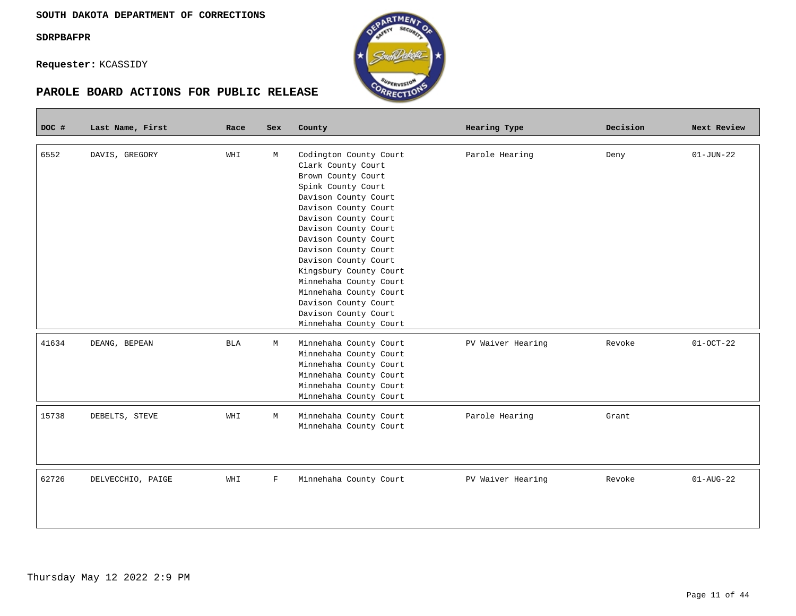$\mathcal{L}(\mathcal{L})$ 

**Requester:** KCASSIDY



| DOC # | Last Name, First  | Race       | <b>Sex</b> | County                 | Hearing Type      | Decision | Next Review     |
|-------|-------------------|------------|------------|------------------------|-------------------|----------|-----------------|
|       |                   |            |            |                        |                   |          |                 |
| 6552  | DAVIS, GREGORY    | WHI        | M          | Codington County Court | Parole Hearing    | Deny     | $01 - JUN - 22$ |
|       |                   |            |            | Clark County Court     |                   |          |                 |
|       |                   |            |            | Brown County Court     |                   |          |                 |
|       |                   |            |            | Spink County Court     |                   |          |                 |
|       |                   |            |            | Davison County Court   |                   |          |                 |
|       |                   |            |            | Davison County Court   |                   |          |                 |
|       |                   |            |            | Davison County Court   |                   |          |                 |
|       |                   |            |            | Davison County Court   |                   |          |                 |
|       |                   |            |            | Davison County Court   |                   |          |                 |
|       |                   |            |            | Davison County Court   |                   |          |                 |
|       |                   |            |            | Davison County Court   |                   |          |                 |
|       |                   |            |            | Kingsbury County Court |                   |          |                 |
|       |                   |            |            | Minnehaha County Court |                   |          |                 |
|       |                   |            |            | Minnehaha County Court |                   |          |                 |
|       |                   |            |            | Davison County Court   |                   |          |                 |
|       |                   |            |            | Davison County Court   |                   |          |                 |
|       |                   |            |            | Minnehaha County Court |                   |          |                 |
| 41634 | DEANG, BEPEAN     | <b>BLA</b> | M          | Minnehaha County Court | PV Waiver Hearing | Revoke   | $01-0CT-22$     |
|       |                   |            |            | Minnehaha County Court |                   |          |                 |
|       |                   |            |            | Minnehaha County Court |                   |          |                 |
|       |                   |            |            | Minnehaha County Court |                   |          |                 |
|       |                   |            |            | Minnehaha County Court |                   |          |                 |
|       |                   |            |            | Minnehaha County Court |                   |          |                 |
|       |                   |            |            |                        |                   |          |                 |
| 15738 | DEBELTS, STEVE    | WHI        | М          | Minnehaha County Court | Parole Hearing    | Grant    |                 |
|       |                   |            |            | Minnehaha County Court |                   |          |                 |
|       |                   |            |            |                        |                   |          |                 |
|       |                   |            |            |                        |                   |          |                 |
|       |                   |            |            |                        |                   |          |                 |
| 62726 | DELVECCHIO, PAIGE | WHI        | F          | Minnehaha County Court | PV Waiver Hearing | Revoke   | $01 - AUG - 22$ |
|       |                   |            |            |                        |                   |          |                 |
|       |                   |            |            |                        |                   |          |                 |
|       |                   |            |            |                        |                   |          |                 |
|       |                   |            |            |                        |                   |          |                 |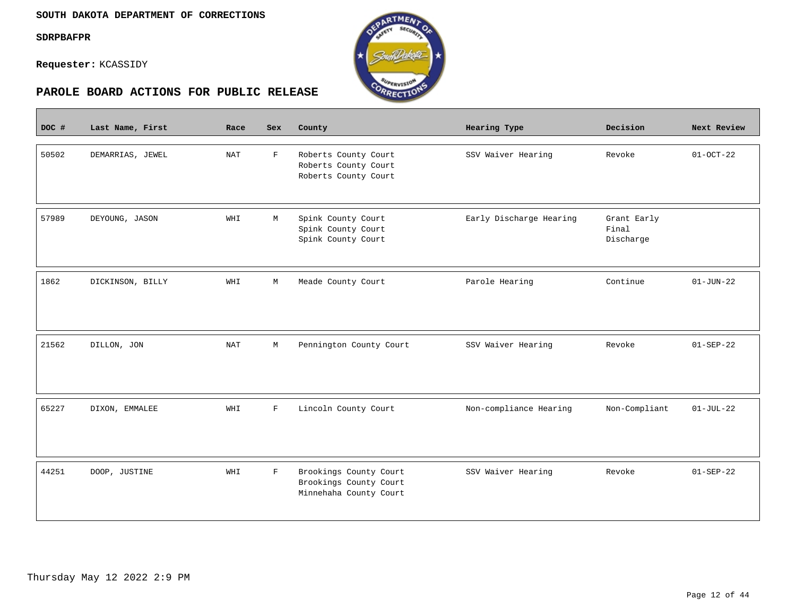$\overline{\phantom{a}}$ 

**Requester:** KCASSIDY



| DOC # | Last Name, First | Race       | Sex         | County                                                                     | Hearing Type            | Decision                          | Next Review     |
|-------|------------------|------------|-------------|----------------------------------------------------------------------------|-------------------------|-----------------------------------|-----------------|
| 50502 | DEMARRIAS, JEWEL | <b>NAT</b> | $\mathbf F$ | Roberts County Court<br>Roberts County Court<br>Roberts County Court       | SSV Waiver Hearing      | Revoke                            | $01 - OCT - 22$ |
| 57989 | DEYOUNG, JASON   | WHI        | M           | Spink County Court<br>Spink County Court<br>Spink County Court             | Early Discharge Hearing | Grant Early<br>Final<br>Discharge |                 |
| 1862  | DICKINSON, BILLY | WHI        | М           | Meade County Court                                                         | Parole Hearing          | Continue                          | $01 - JUN - 22$ |
| 21562 | DILLON, JON      | NAT        | М           | Pennington County Court                                                    | SSV Waiver Hearing      | Revoke                            | $01 - SEP - 22$ |
| 65227 | DIXON, EMMALEE   | WHI        | $\mathbf F$ | Lincoln County Court                                                       | Non-compliance Hearing  | Non-Compliant                     | $01-JUL-22$     |
| 44251 | DOOP, JUSTINE    | WHI        | $\mathbf F$ | Brookings County Court<br>Brookings County Court<br>Minnehaha County Court | SSV Waiver Hearing      | Revoke                            | $01 - SEP - 22$ |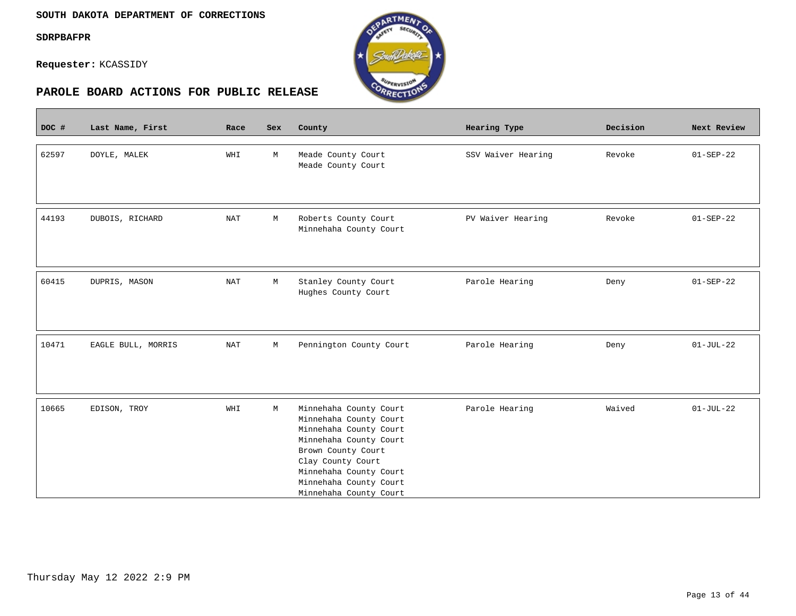$\mathcal{L}(\mathcal{L})$ 

**Requester:** KCASSIDY



| DOC # | Last Name, First   | Race       | <b>Sex</b> | County                                           | Hearing Type       | Decision | Next Review     |
|-------|--------------------|------------|------------|--------------------------------------------------|--------------------|----------|-----------------|
|       |                    |            |            |                                                  |                    |          |                 |
| 62597 | DOYLE, MALEK       | WHI        | М          | Meade County Court<br>Meade County Court         | SSV Waiver Hearing | Revoke   | $01 - SEP - 22$ |
|       |                    |            |            |                                                  |                    |          |                 |
|       |                    |            |            |                                                  |                    |          |                 |
| 44193 | DUBOIS, RICHARD    | <b>NAT</b> | М          | Roberts County Court                             | PV Waiver Hearing  | Revoke   | $01 - SEP - 22$ |
|       |                    |            |            | Minnehaha County Court                           |                    |          |                 |
|       |                    |            |            |                                                  |                    |          |                 |
|       |                    |            |            |                                                  |                    |          |                 |
| 60415 | DUPRIS, MASON      | <b>NAT</b> | М          | Stanley County Court                             | Parole Hearing     | Deny     | $01 - SEP - 22$ |
|       |                    |            |            | Hughes County Court                              |                    |          |                 |
|       |                    |            |            |                                                  |                    |          |                 |
|       |                    |            |            |                                                  |                    |          |                 |
|       |                    |            |            |                                                  |                    |          |                 |
| 10471 | EAGLE BULL, MORRIS | <b>NAT</b> | М          | Pennington County Court                          | Parole Hearing     | Deny     | $01-JUL-22$     |
|       |                    |            |            |                                                  |                    |          |                 |
|       |                    |            |            |                                                  |                    |          |                 |
|       |                    |            |            |                                                  |                    |          |                 |
| 10665 | EDISON, TROY       | WHI        | М          | Minnehaha County Court                           | Parole Hearing     | Waived   | $01-JUL-22$     |
|       |                    |            |            | Minnehaha County Court<br>Minnehaha County Court |                    |          |                 |
|       |                    |            |            | Minnehaha County Court                           |                    |          |                 |
|       |                    |            |            | Brown County Court                               |                    |          |                 |
|       |                    |            |            | Clay County Court                                |                    |          |                 |
|       |                    |            |            | Minnehaha County Court                           |                    |          |                 |
|       |                    |            |            | Minnehaha County Court                           |                    |          |                 |
|       |                    |            |            | Minnehaha County Court                           |                    |          |                 |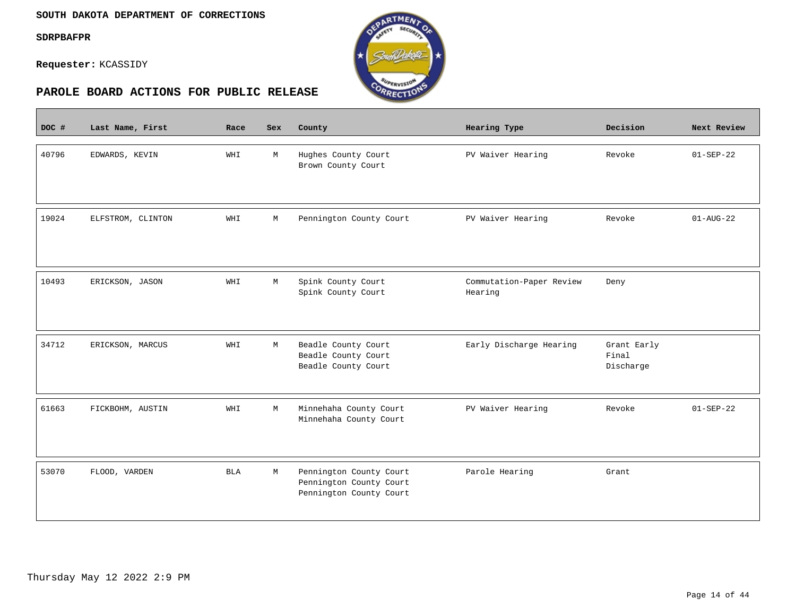$\mathcal{L}(\mathcal{L})$ 

**Requester:** KCASSIDY



| DOC # | Last Name, First  | Race       | <b>Sex</b>  | County                                                                        | <b>Hearing Type</b>                 | Decision                          | Next Review            |
|-------|-------------------|------------|-------------|-------------------------------------------------------------------------------|-------------------------------------|-----------------------------------|------------------------|
| 40796 | EDWARDS, KEVIN    | WHI        | M           | Hughes County Court<br>Brown County Court                                     | PV Waiver Hearing                   | Revoke                            | $01 - SEP - 22$        |
| 19024 | ELFSTROM, CLINTON | WHI        | М           | Pennington County Court                                                       | PV Waiver Hearing                   | Revoke                            | $01 - \text{AUG} - 22$ |
| 10493 | ERICKSON, JASON   | WHI        | $\mathbb M$ | Spink County Court<br>Spink County Court                                      | Commutation-Paper Review<br>Hearing | Deny                              |                        |
| 34712 | ERICKSON, MARCUS  | WHI        | М           | Beadle County Court<br>Beadle County Court<br>Beadle County Court             | Early Discharge Hearing             | Grant Early<br>Final<br>Discharge |                        |
| 61663 | FICKBOHM, AUSTIN  | WHI        | M           | Minnehaha County Court<br>Minnehaha County Court                              | PV Waiver Hearing                   | Revoke                            | $01 - SEP - 22$        |
| 53070 | FLOOD, VARDEN     | <b>BLA</b> | М           | Pennington County Court<br>Pennington County Court<br>Pennington County Court | Parole Hearing                      | Grant                             |                        |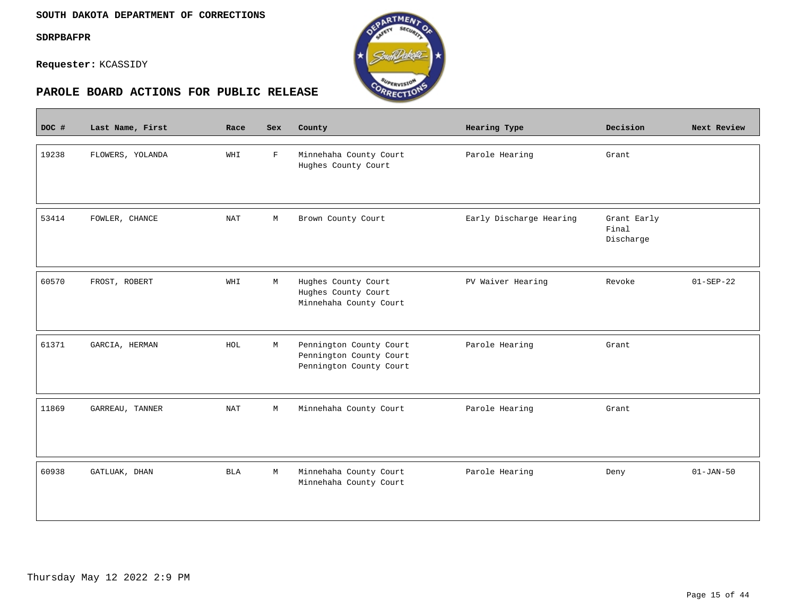$\overline{\phantom{a}}$ 

**Requester:** KCASSIDY



| DOC # | Last Name, First | Race       | Sex         | County                                                                        | Hearing Type            | Decision                          | Next Review     |
|-------|------------------|------------|-------------|-------------------------------------------------------------------------------|-------------------------|-----------------------------------|-----------------|
| 19238 | FLOWERS, YOLANDA | WHI        | $\mathbf F$ | Minnehaha County Court<br>Hughes County Court                                 | Parole Hearing          | Grant                             |                 |
| 53414 | FOWLER, CHANCE   | NAT        | М           | Brown County Court                                                            | Early Discharge Hearing | Grant Early<br>Final<br>Discharge |                 |
| 60570 | FROST, ROBERT    | WHI        | М           | Hughes County Court<br>Hughes County Court<br>Minnehaha County Court          | PV Waiver Hearing       | Revoke                            | $01 - SEP - 22$ |
| 61371 | GARCIA, HERMAN   | HOL        | М           | Pennington County Court<br>Pennington County Court<br>Pennington County Court | Parole Hearing          | Grant                             |                 |
| 11869 | GARREAU, TANNER  | NAT        | М           | Minnehaha County Court                                                        | Parole Hearing          | Grant                             |                 |
| 60938 | GATLUAK, DHAN    | <b>BLA</b> | М           | Minnehaha County Court<br>Minnehaha County Court                              | Parole Hearing          | Deny                              | $01 - JAN - 50$ |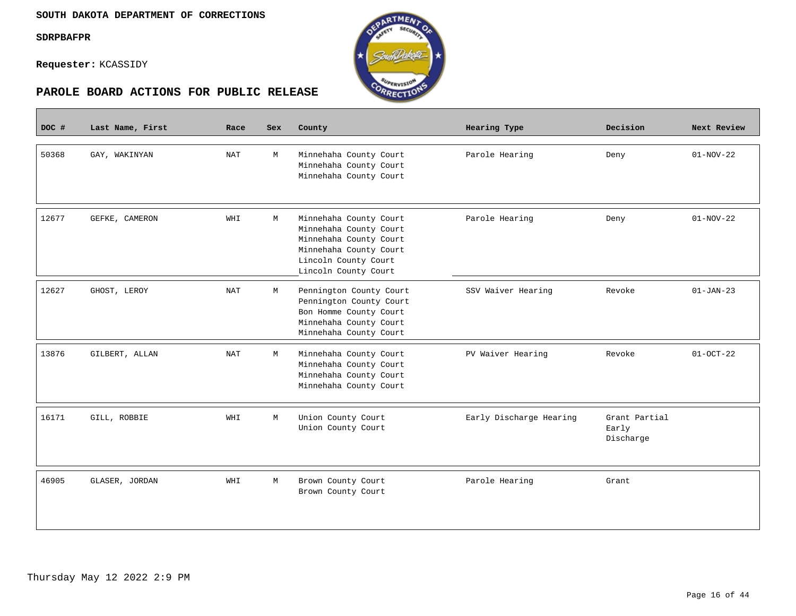

| DOC # | Last Name, First | Race | Sex | County                                                                                                                                               | Hearing Type            | Decision                            | Next Review |
|-------|------------------|------|-----|------------------------------------------------------------------------------------------------------------------------------------------------------|-------------------------|-------------------------------------|-------------|
| 50368 | GAY, WAKINYAN    | NAT  | M   | Minnehaha County Court<br>Minnehaha County Court<br>Minnehaha County Court                                                                           | Parole Hearing          | Deny                                | $01-NOV-22$ |
| 12677 | GEFKE, CAMERON   | WHI  | M   | Minnehaha County Court<br>Minnehaha County Court<br>Minnehaha County Court<br>Minnehaha County Court<br>Lincoln County Court<br>Lincoln County Court | Parole Hearing          | Deny                                | $01-NOV-22$ |
| 12627 | GHOST, LEROY     | NAT  | М   | Pennington County Court<br>Pennington County Court<br>Bon Homme County Court<br>Minnehaha County Court<br>Minnehaha County Court                     | SSV Waiver Hearing      | Revoke                              | $01-JAN-23$ |
| 13876 | GILBERT, ALLAN   | NAT  | M   | Minnehaha County Court<br>Minnehaha County Court<br>Minnehaha County Court<br>Minnehaha County Court                                                 | PV Waiver Hearing       | Revoke                              | $01-0CT-22$ |
| 16171 | GILL, ROBBIE     | WHI  | M   | Union County Court<br>Union County Court                                                                                                             | Early Discharge Hearing | Grant Partial<br>Early<br>Discharge |             |
| 46905 | GLASER, JORDAN   | WHI  | M   | Brown County Court<br>Brown County Court                                                                                                             | Parole Hearing          | Grant                               |             |

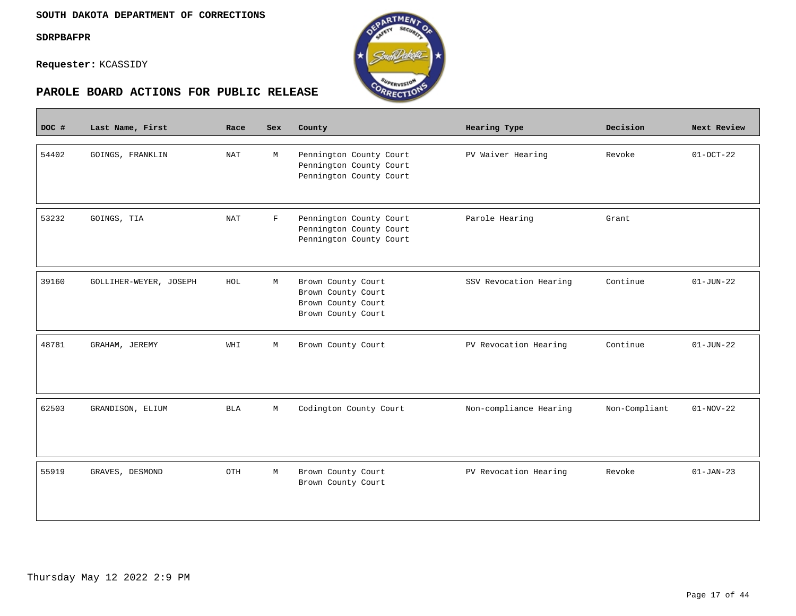$\overline{\phantom{a}}$ 

**Requester:** KCASSIDY



| DOC # | Last Name, First       | Race       | <b>Sex</b>  | County                                                                               | Hearing Type           | Decision      | Next Review     |
|-------|------------------------|------------|-------------|--------------------------------------------------------------------------------------|------------------------|---------------|-----------------|
| 54402 | GOINGS, FRANKLIN       | <b>NAT</b> | M           | Pennington County Court<br>Pennington County Court<br>Pennington County Court        | PV Waiver Hearing      | Revoke        | $01 - OCT - 22$ |
| 53232 | GOINGS, TIA            | <b>NAT</b> | $\mathbf F$ | Pennington County Court<br>Pennington County Court<br>Pennington County Court        | Parole Hearing         | Grant         |                 |
| 39160 | GOLLIHER-WEYER, JOSEPH | HOL        | М           | Brown County Court<br>Brown County Court<br>Brown County Court<br>Brown County Court | SSV Revocation Hearing | Continue      | $01 - JUN - 22$ |
| 48781 | GRAHAM, JEREMY         | WHI        | М           | Brown County Court                                                                   | PV Revocation Hearing  | Continue      | $01 - JUN - 22$ |
| 62503 | GRANDISON, ELIUM       | BLA        | М           | Codington County Court                                                               | Non-compliance Hearing | Non-Compliant | $01-NOV-22$     |
| 55919 | GRAVES, DESMOND        | OTH        | M           | Brown County Court<br>Brown County Court                                             | PV Revocation Hearing  | Revoke        | $01 - JAN - 23$ |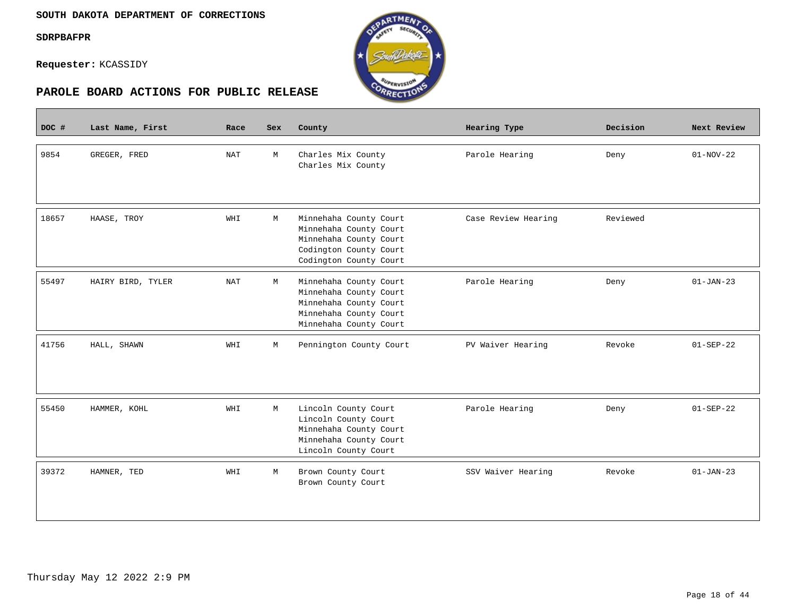**Contract** 





| DOC # | Last Name, First  | Race       | <b>Sex</b> | County                                                                                                                         | <b>Hearing Type</b> | Decision | Next Review     |
|-------|-------------------|------------|------------|--------------------------------------------------------------------------------------------------------------------------------|---------------------|----------|-----------------|
| 9854  | GREGER, FRED      | <b>NAT</b> | M          | Charles Mix County<br>Charles Mix County                                                                                       | Parole Hearing      | Deny     | $01-NOV-22$     |
| 18657 | HAASE, TROY       | WHI        | M          | Minnehaha County Court<br>Minnehaha County Court<br>Minnehaha County Court<br>Codington County Court<br>Codington County Court | Case Review Hearing | Reviewed |                 |
| 55497 | HAIRY BIRD, TYLER | <b>NAT</b> | М          | Minnehaha County Court<br>Minnehaha County Court<br>Minnehaha County Court<br>Minnehaha County Court<br>Minnehaha County Court | Parole Hearing      | Deny     | $01-JAN-23$     |
| 41756 | HALL, SHAWN       | WHI        | М          | Pennington County Court                                                                                                        | PV Waiver Hearing   | Revoke   | $01 - SEP - 22$ |
| 55450 | HAMMER, KOHL      | WHI        | M          | Lincoln County Court<br>Lincoln County Court<br>Minnehaha County Court<br>Minnehaha County Court<br>Lincoln County Court       | Parole Hearing      | Deny     | $01 - SEP - 22$ |
| 39372 | HAMNER, TED       | WHI        | М          | Brown County Court<br>Brown County Court                                                                                       | SSV Waiver Hearing  | Revoke   | $01-JAN-23$     |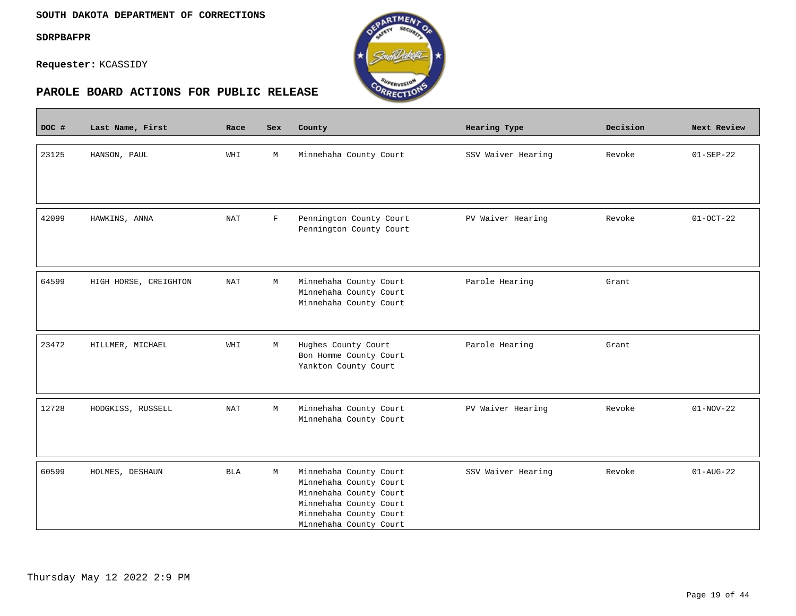$\overline{\phantom{a}}$ 

**Requester:** KCASSIDY



| DOC # | Last Name, First      | Race       | Sex          | County                                           | Hearing Type       | Decision | Next Review     |
|-------|-----------------------|------------|--------------|--------------------------------------------------|--------------------|----------|-----------------|
|       |                       |            |              |                                                  |                    |          |                 |
| 23125 | HANSON, PAUL          | WHI        | М            | Minnehaha County Court                           | SSV Waiver Hearing | Revoke   | $01 - SEP - 22$ |
|       |                       |            |              |                                                  |                    |          |                 |
|       |                       |            |              |                                                  |                    |          |                 |
| 42099 | HAWKINS, ANNA         | <b>NAT</b> | $\mathbf{F}$ | Pennington County Court                          | PV Waiver Hearing  | Revoke   | $01 - OCT - 22$ |
|       |                       |            |              | Pennington County Court                          |                    |          |                 |
|       |                       |            |              |                                                  |                    |          |                 |
|       |                       |            |              |                                                  |                    |          |                 |
| 64599 | HIGH HORSE, CREIGHTON | NAT        | М            | Minnehaha County Court                           | Parole Hearing     | Grant    |                 |
|       |                       |            |              | Minnehaha County Court                           |                    |          |                 |
|       |                       |            |              | Minnehaha County Court                           |                    |          |                 |
|       |                       |            |              |                                                  |                    |          |                 |
| 23472 | HILLMER, MICHAEL      | WHI        | М            | Hughes County Court                              | Parole Hearing     | Grant    |                 |
|       |                       |            |              | Bon Homme County Court                           |                    |          |                 |
|       |                       |            |              | Yankton County Court                             |                    |          |                 |
|       |                       |            |              |                                                  |                    |          |                 |
| 12728 | HODGKISS, RUSSELL     | <b>NAT</b> | М            | Minnehaha County Court                           | PV Waiver Hearing  | Revoke   | $01-NOV-22$     |
|       |                       |            |              | Minnehaha County Court                           |                    |          |                 |
|       |                       |            |              |                                                  |                    |          |                 |
|       |                       |            |              |                                                  |                    |          |                 |
| 60599 | HOLMES, DESHAUN       | <b>BLA</b> | М            | Minnehaha County Court                           | SSV Waiver Hearing | Revoke   | $01 - AUG - 22$ |
|       |                       |            |              | Minnehaha County Court                           |                    |          |                 |
|       |                       |            |              | Minnehaha County Court<br>Minnehaha County Court |                    |          |                 |
|       |                       |            |              | Minnehaha County Court                           |                    |          |                 |
|       |                       |            |              | Minnehaha County Court                           |                    |          |                 |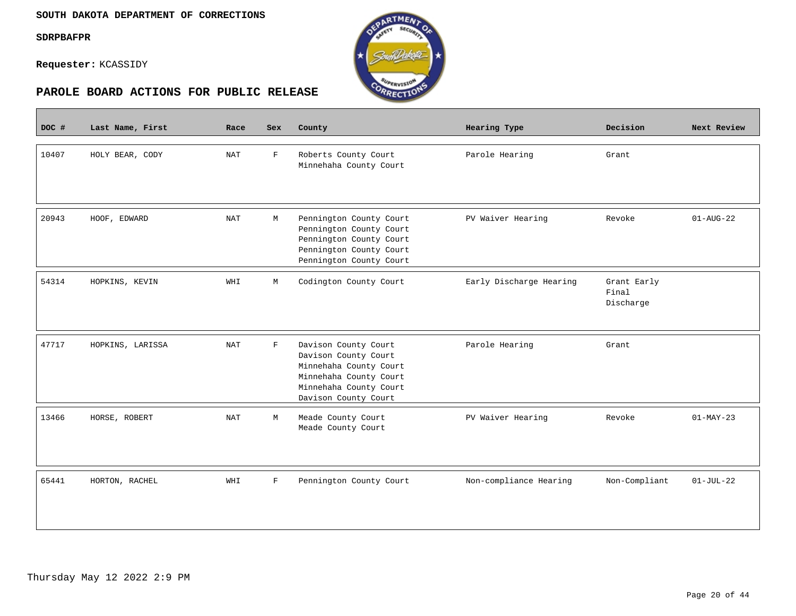$\blacksquare$ 

**Requester:** KCASSIDY



| DOC # | Last Name, First | Race       | Sex          | County                                                                                                                                             | Hearing Type            | Decision                          | Next Review            |
|-------|------------------|------------|--------------|----------------------------------------------------------------------------------------------------------------------------------------------------|-------------------------|-----------------------------------|------------------------|
| 10407 | HOLY BEAR, CODY  | <b>NAT</b> | $\mathbf F$  | Roberts County Court<br>Minnehaha County Court                                                                                                     | Parole Hearing          | Grant                             |                        |
| 20943 | HOOF, EDWARD     | <b>NAT</b> | M            | Pennington County Court<br>Pennington County Court<br>Pennington County Court<br>Pennington County Court<br>Pennington County Court                | PV Waiver Hearing       | Revoke                            | $01 - \text{AUG} - 22$ |
| 54314 | HOPKINS, KEVIN   | WHI        | М            | Codington County Court                                                                                                                             | Early Discharge Hearing | Grant Early<br>Final<br>Discharge |                        |
| 47717 | HOPKINS, LARISSA | <b>NAT</b> | F            | Davison County Court<br>Davison County Court<br>Minnehaha County Court<br>Minnehaha County Court<br>Minnehaha County Court<br>Davison County Court | Parole Hearing          | Grant                             |                        |
| 13466 | HORSE, ROBERT    | <b>NAT</b> | M            | Meade County Court<br>Meade County Court                                                                                                           | PV Waiver Hearing       | Revoke                            | $01-MAY-23$            |
| 65441 | HORTON, RACHEL   | WHI        | $\mathbf{F}$ | Pennington County Court                                                                                                                            | Non-compliance Hearing  | Non-Compliant                     | $01-JUL-22$            |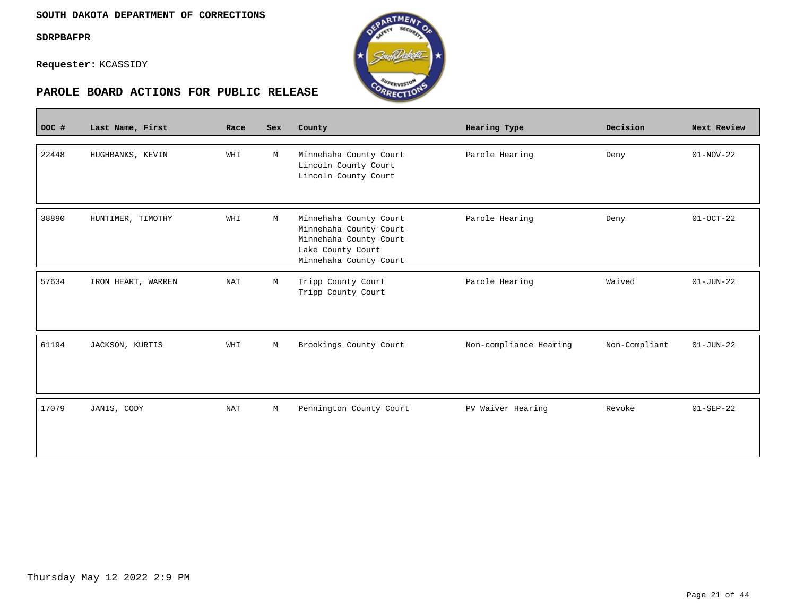Г





| DOC # | Last Name, First   | Race | Sex         | County                                                                                                                    | Hearing Type           | Decision      | Next Review     |
|-------|--------------------|------|-------------|---------------------------------------------------------------------------------------------------------------------------|------------------------|---------------|-----------------|
|       |                    |      |             |                                                                                                                           |                        |               |                 |
| 22448 | HUGHBANKS, KEVIN   | WHI  | M           | Minnehaha County Court<br>Lincoln County Court<br>Lincoln County Court                                                    | Parole Hearing         | Deny          | $01-NOV-22$     |
| 38890 | HUNTIMER, TIMOTHY  | WHI  | М           | Minnehaha County Court<br>Minnehaha County Court<br>Minnehaha County Court<br>Lake County Court<br>Minnehaha County Court | Parole Hearing         | Deny          | $01 - OCT - 22$ |
| 57634 | IRON HEART, WARREN | NAT  | М           | Tripp County Court<br>Tripp County Court                                                                                  | Parole Hearing         | Waived        | $01 - JUN - 22$ |
| 61194 | JACKSON, KURTIS    | WHI  | $\mathbb M$ | Brookings County Court                                                                                                    | Non-compliance Hearing | Non-Compliant | $01 - JUN - 22$ |
| 17079 | JANIS, CODY        | NAT  | М           | Pennington County Court                                                                                                   | PV Waiver Hearing      | Revoke        | $01 - SEP - 22$ |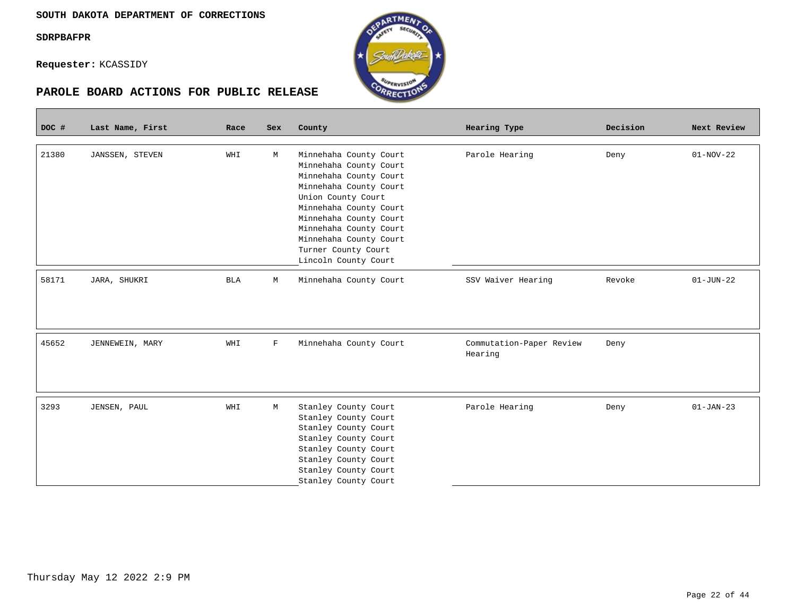Г

**Requester:** KCASSIDY



| DOC # | Last Name, First | Race       | Sex | County                                                                                                                                                                                                                                                                            | Hearing Type                        | Decision | Next Review     |
|-------|------------------|------------|-----|-----------------------------------------------------------------------------------------------------------------------------------------------------------------------------------------------------------------------------------------------------------------------------------|-------------------------------------|----------|-----------------|
| 21380 | JANSSEN, STEVEN  | WHI        | М   | Minnehaha County Court<br>Minnehaha County Court<br>Minnehaha County Court<br>Minnehaha County Court<br>Union County Court<br>Minnehaha County Court<br>Minnehaha County Court<br>Minnehaha County Court<br>Minnehaha County Court<br>Turner County Court<br>Lincoln County Court | Parole Hearing                      | Deny     | $01-NOV-22$     |
| 58171 | JARA, SHUKRI     | <b>BLA</b> | М   | Minnehaha County Court                                                                                                                                                                                                                                                            | SSV Waiver Hearing                  | Revoke   | $01 - JUN - 22$ |
|       |                  |            |     |                                                                                                                                                                                                                                                                                   |                                     |          |                 |
| 45652 | JENNEWEIN, MARY  | WHI        | F   | Minnehaha County Court                                                                                                                                                                                                                                                            | Commutation-Paper Review<br>Hearing | Deny     |                 |
| 3293  | JENSEN, PAUL     | WHI        | M   | Stanley County Court<br>Stanley County Court<br>Stanley County Court<br>Stanley County Court<br>Stanley County Court<br>Stanley County Court<br>Stanley County Court<br>Stanley County Court                                                                                      | Parole Hearing                      | Deny     | $01 - JAN - 23$ |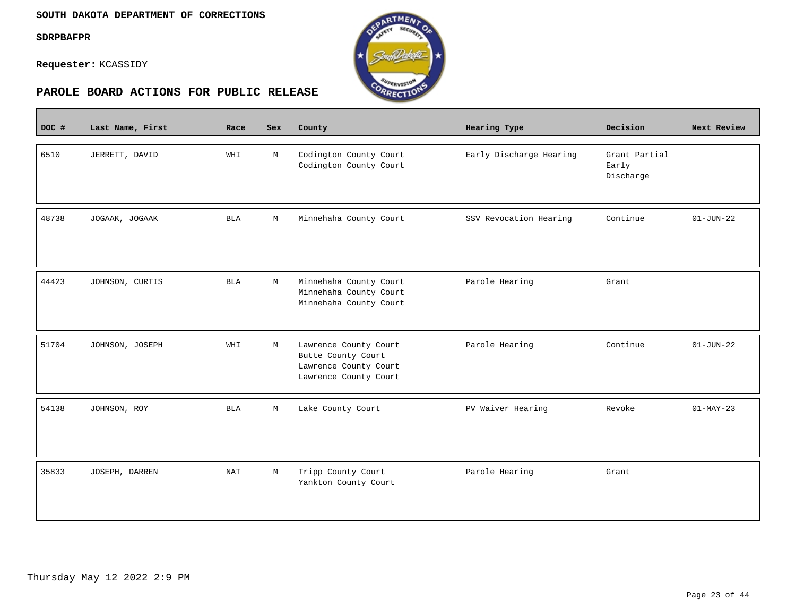$\overline{\phantom{a}}$ 

**Requester:** KCASSIDY



| DOC # | Last Name, First | Race       | Sex | County                                                                                        | Hearing Type            | Decision                            | Next Review     |
|-------|------------------|------------|-----|-----------------------------------------------------------------------------------------------|-------------------------|-------------------------------------|-----------------|
| 6510  | JERRETT, DAVID   | WHI        | М   | Codington County Court<br>Codington County Court                                              | Early Discharge Hearing | Grant Partial<br>Early<br>Discharge |                 |
| 48738 | JOGAAK, JOGAAK   | <b>BLA</b> | М   | Minnehaha County Court                                                                        | SSV Revocation Hearing  | Continue                            | $01 - JUN - 22$ |
| 44423 | JOHNSON, CURTIS  | <b>BLA</b> | M   | Minnehaha County Court<br>Minnehaha County Court<br>Minnehaha County Court                    | Parole Hearing          | Grant                               |                 |
| 51704 | JOHNSON, JOSEPH  | WHI        | М   | Lawrence County Court<br>Butte County Court<br>Lawrence County Court<br>Lawrence County Court | Parole Hearing          | Continue                            | $01 - JUN - 22$ |
| 54138 | JOHNSON, ROY     | BLA        | М   | Lake County Court                                                                             | PV Waiver Hearing       | Revoke                              | $01-MAY-23$     |
| 35833 | JOSEPH, DARREN   | NAT        | M   | Tripp County Court<br>Yankton County Court                                                    | Parole Hearing          | Grant                               |                 |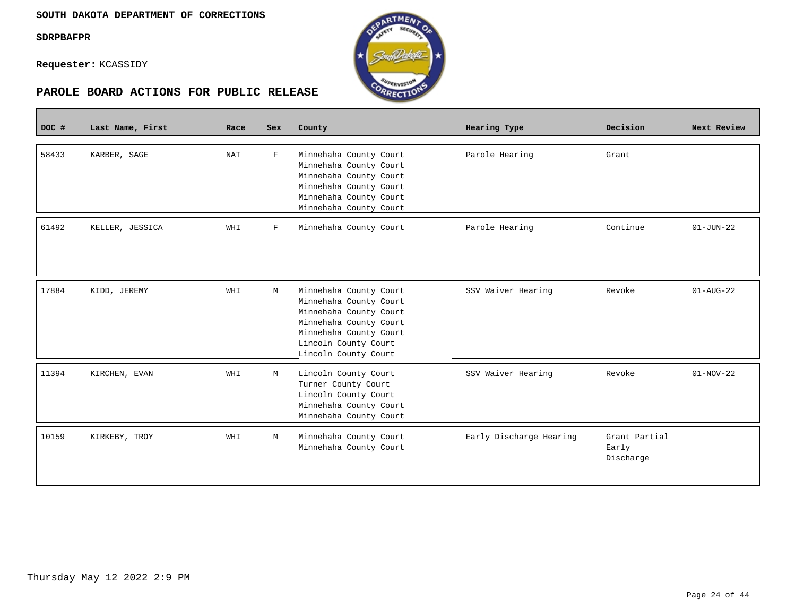$\overline{\phantom{a}}$ 





| DOC # | Last Name, First | Race | Sex         | County                                                                                                                                                                         | Hearing Type            | Decision                            | Next Review            |
|-------|------------------|------|-------------|--------------------------------------------------------------------------------------------------------------------------------------------------------------------------------|-------------------------|-------------------------------------|------------------------|
| 58433 | KARBER, SAGE     | NAT  | F           | Minnehaha County Court<br>Minnehaha County Court<br>Minnehaha County Court<br>Minnehaha County Court<br>Minnehaha County Court<br>Minnehaha County Court                       | Parole Hearing          | Grant                               |                        |
| 61492 | KELLER, JESSICA  | WHI  | $\mathbf F$ | Minnehaha County Court                                                                                                                                                         | Parole Hearing          | Continue                            | $01 - JUN - 22$        |
| 17884 | KIDD, JEREMY     | WHI  | M           | Minnehaha County Court<br>Minnehaha County Court<br>Minnehaha County Court<br>Minnehaha County Court<br>Minnehaha County Court<br>Lincoln County Court<br>Lincoln County Court | SSV Waiver Hearing      | Revoke                              | $01 - \text{AUG} - 22$ |
| 11394 | KIRCHEN, EVAN    | WHI  | M           | Lincoln County Court<br>Turner County Court<br>Lincoln County Court<br>Minnehaha County Court<br>Minnehaha County Court                                                        | SSV Waiver Hearing      | Revoke                              | $01-NOV-22$            |
| 10159 | KIRKEBY, TROY    | WHI  | M           | Minnehaha County Court<br>Minnehaha County Court                                                                                                                               | Early Discharge Hearing | Grant Partial<br>Early<br>Discharge |                        |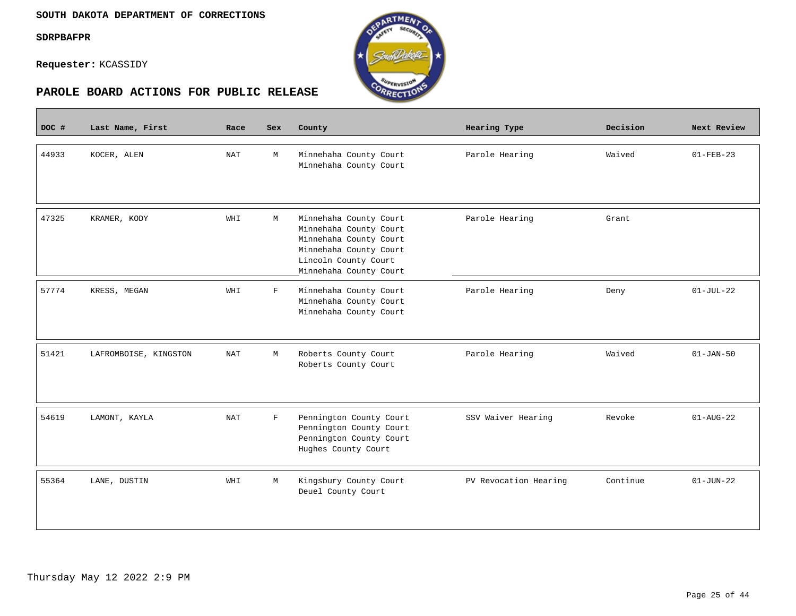**Contract** 





| DOC # | Last Name, First      | Race       | <b>Sex</b>  | County                                                                                                                                                 | Hearing Type          | Decision | Next Review     |
|-------|-----------------------|------------|-------------|--------------------------------------------------------------------------------------------------------------------------------------------------------|-----------------------|----------|-----------------|
| 44933 | KOCER, ALEN           | NAT        | М           | Minnehaha County Court<br>Minnehaha County Court                                                                                                       | Parole Hearing        | Waived   | $01 - FEB - 23$ |
| 47325 | KRAMER, KODY          | WHI        | М           | Minnehaha County Court<br>Minnehaha County Court<br>Minnehaha County Court<br>Minnehaha County Court<br>Lincoln County Court<br>Minnehaha County Court | Parole Hearing        | Grant    |                 |
| 57774 | KRESS, MEGAN          | WHI        | F           | Minnehaha County Court<br>Minnehaha County Court<br>Minnehaha County Court                                                                             | Parole Hearing        | Deny     | $01-JUL-22$     |
| 51421 | LAFROMBOISE, KINGSTON | <b>NAT</b> | M           | Roberts County Court<br>Roberts County Court                                                                                                           | Parole Hearing        | Waived   | $01 - JAN-50$   |
| 54619 | LAMONT, KAYLA         | NAT        | $\mathbf F$ | Pennington County Court<br>Pennington County Court<br>Pennington County Court<br>Hughes County Court                                                   | SSV Waiver Hearing    | Revoke   | $01 - AUG - 22$ |
| 55364 | LANE, DUSTIN          | WHI        | М           | Kingsbury County Court<br>Deuel County Court                                                                                                           | PV Revocation Hearing | Continue | $01-JUN-22$     |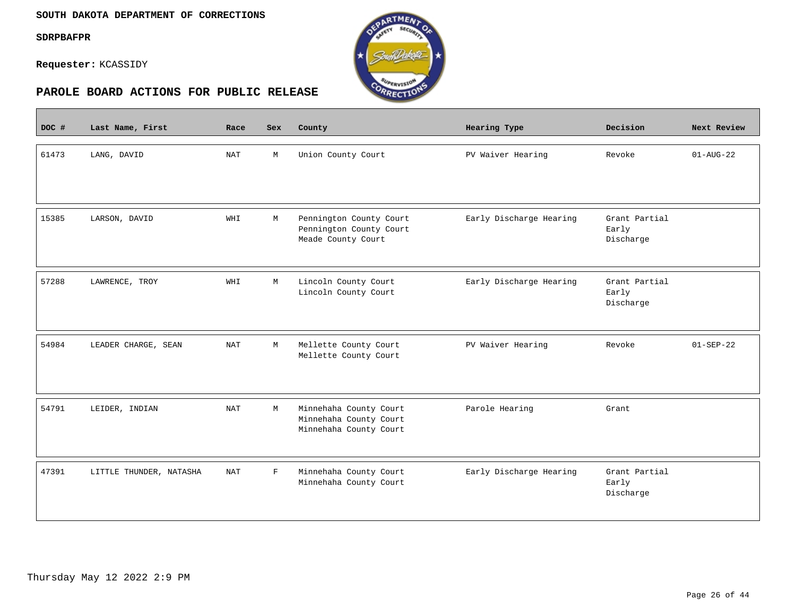#### **SOUTH DAKOTA DEPARTMENT OF CORRECTIONS**

**SDRPBAFPR**

 $\overline{\phantom{a}}$ 

**Requester:** KCASSIDY



| DOC # | Last Name, First        | Race       | <b>Sex</b>  | County                                                                     | Hearing Type            | Decision                            | Next Review            |
|-------|-------------------------|------------|-------------|----------------------------------------------------------------------------|-------------------------|-------------------------------------|------------------------|
| 61473 | LANG, DAVID             | <b>NAT</b> | M           | Union County Court                                                         | PV Waiver Hearing       | Revoke                              | $01 - \text{AUG} - 22$ |
| 15385 | LARSON, DAVID           | WHI        | М           | Pennington County Court<br>Pennington County Court<br>Meade County Court   | Early Discharge Hearing | Grant Partial<br>Early<br>Discharge |                        |
| 57288 | LAWRENCE, TROY          | WHI        | М           | Lincoln County Court<br>Lincoln County Court                               | Early Discharge Hearing | Grant Partial<br>Early<br>Discharge |                        |
| 54984 | LEADER CHARGE, SEAN     | <b>NAT</b> | M           | Mellette County Court<br>Mellette County Court                             | PV Waiver Hearing       | Revoke                              | $01-SEP-22$            |
| 54791 | LEIDER, INDIAN          | NAT        | M           | Minnehaha County Court<br>Minnehaha County Court<br>Minnehaha County Court | Parole Hearing          | Grant                               |                        |
| 47391 | LITTLE THUNDER, NATASHA | <b>NAT</b> | $\mathbf F$ | Minnehaha County Court<br>Minnehaha County Court                           | Early Discharge Hearing | Grant Partial<br>Early<br>Discharge |                        |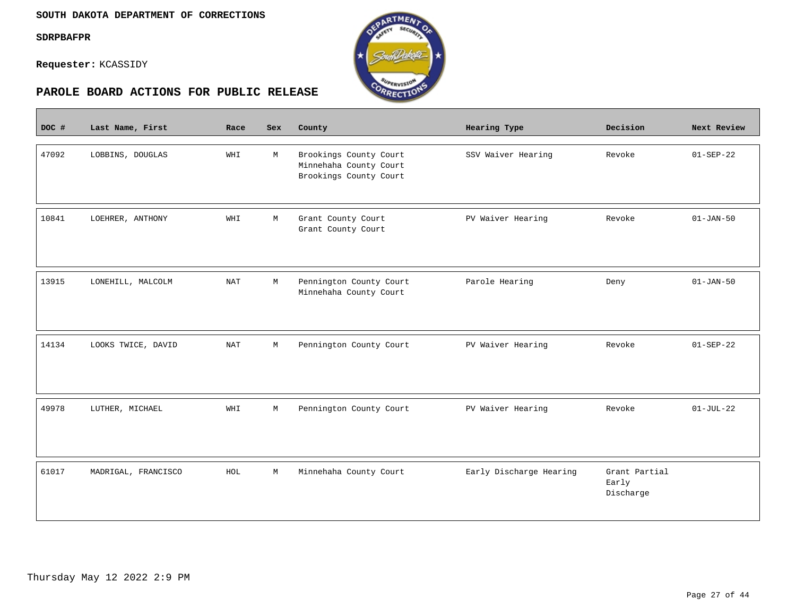$\sim$ 

**Requester:** KCASSIDY



| DOC # | Last Name, First    | Race       | Sex         | County                                                                     | Hearing Type            | Decision                            | Next Review     |
|-------|---------------------|------------|-------------|----------------------------------------------------------------------------|-------------------------|-------------------------------------|-----------------|
| 47092 | LOBBINS, DOUGLAS    | WHI        | М           | Brookings County Court<br>Minnehaha County Court<br>Brookings County Court | SSV Waiver Hearing      | Revoke                              | $01 - SEP - 22$ |
| 10841 | LOEHRER, ANTHONY    | WHI        | M           | Grant County Court<br>Grant County Court                                   | PV Waiver Hearing       | Revoke                              | $01 - JAN - 50$ |
| 13915 | LONEHILL, MALCOLM   | <b>NAT</b> | М           | Pennington County Court<br>Minnehaha County Court                          | Parole Hearing          | Deny                                | $01 - JAN - 50$ |
| 14134 | LOOKS TWICE, DAVID  | <b>NAT</b> | М           | Pennington County Court                                                    | PV Waiver Hearing       | Revoke                              | $01 - SEP - 22$ |
| 49978 | LUTHER, MICHAEL     | WHI        | $\mathbb M$ | Pennington County Court                                                    | PV Waiver Hearing       | Revoke                              | $01-JUL-22$     |
| 61017 | MADRIGAL, FRANCISCO | HOL        | $\mathbb M$ | Minnehaha County Court                                                     | Early Discharge Hearing | Grant Partial<br>Early<br>Discharge |                 |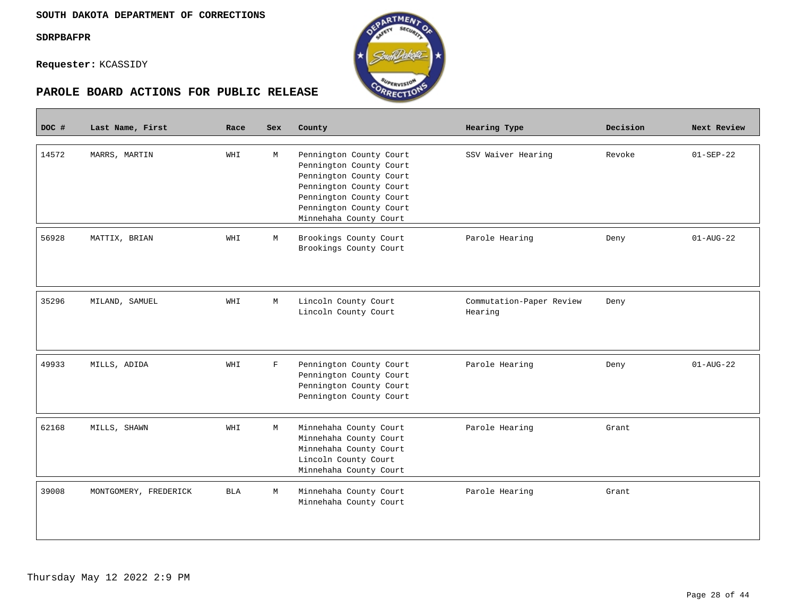П





| DOC # | Last Name, First      | Race       | Sex         | County                                                                                                                                                                                   | Hearing Type                        | Decision | Next Review            |
|-------|-----------------------|------------|-------------|------------------------------------------------------------------------------------------------------------------------------------------------------------------------------------------|-------------------------------------|----------|------------------------|
| 14572 | MARRS, MARTIN         | WHI        | M           | Pennington County Court<br>Pennington County Court<br>Pennington County Court<br>Pennington County Court<br>Pennington County Court<br>Pennington County Court<br>Minnehaha County Court | SSV Waiver Hearing                  | Revoke   | $01 - SEP - 22$        |
| 56928 | MATTIX, BRIAN         | WHI        | М           | Brookings County Court<br>Brookings County Court                                                                                                                                         | Parole Hearing                      | Deny     | $01 - \text{AUG} - 22$ |
| 35296 | MILAND, SAMUEL        | WHI        | М           | Lincoln County Court<br>Lincoln County Court                                                                                                                                             | Commutation-Paper Review<br>Hearing | Deny     |                        |
| 49933 | MILLS, ADIDA          | WHI        | $\mathbf F$ | Pennington County Court<br>Pennington County Court<br>Pennington County Court<br>Pennington County Court                                                                                 | Parole Hearing                      | Deny     | $01 - \text{AUG} - 22$ |
| 62168 | MILLS, SHAWN          | WHI        | M           | Minnehaha County Court<br>Minnehaha County Court<br>Minnehaha County Court<br>Lincoln County Court<br>Minnehaha County Court                                                             | Parole Hearing                      | Grant    |                        |
| 39008 | MONTGOMERY, FREDERICK | <b>BLA</b> | M           | Minnehaha County Court<br>Minnehaha County Court                                                                                                                                         | Parole Hearing                      | Grant    |                        |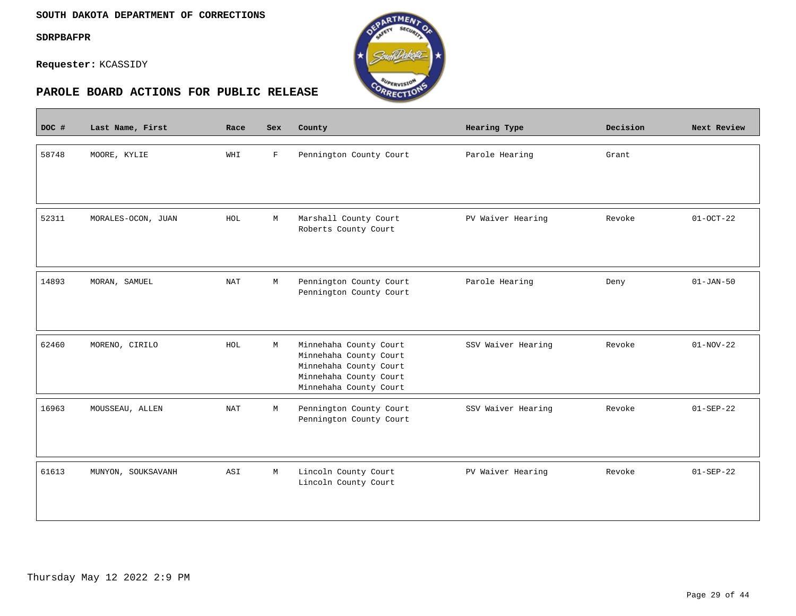#### **SOUTH DAKOTA DEPARTMENT OF CORRECTIONS**

**SDRPBAFPR**

 $\overline{\phantom{a}}$ 

**Requester:** KCASSIDY



| DOC # | Last Name, First   | Race       | <b>Sex</b>   | County                                                                                                                         | <b>Hearing Type</b> | Decision | Next Review     |
|-------|--------------------|------------|--------------|--------------------------------------------------------------------------------------------------------------------------------|---------------------|----------|-----------------|
| 58748 | MOORE, KYLIE       | WHI        | $\mathbf{F}$ | Pennington County Court                                                                                                        | Parole Hearing      | Grant    |                 |
| 52311 | MORALES-OCON, JUAN | HOL        | M            | Marshall County Court<br>Roberts County Court                                                                                  | PV Waiver Hearing   | Revoke   | $01-0CT-22$     |
| 14893 | MORAN, SAMUEL      | <b>NAT</b> | М            | Pennington County Court<br>Pennington County Court                                                                             | Parole Hearing      | Deny     | $01 - JAN - 50$ |
| 62460 | MORENO, CIRILO     | HOL        | M            | Minnehaha County Court<br>Minnehaha County Court<br>Minnehaha County Court<br>Minnehaha County Court<br>Minnehaha County Court | SSV Waiver Hearing  | Revoke   | $01-NOV-22$     |
| 16963 | MOUSSEAU, ALLEN    | <b>NAT</b> | M            | Pennington County Court<br>Pennington County Court                                                                             | SSV Waiver Hearing  | Revoke   | $01 - SEP - 22$ |
| 61613 | MUNYON, SOUKSAVANH | ASI        | M            | Lincoln County Court<br>Lincoln County Court                                                                                   | PV Waiver Hearing   | Revoke   | $01-SEP-22$     |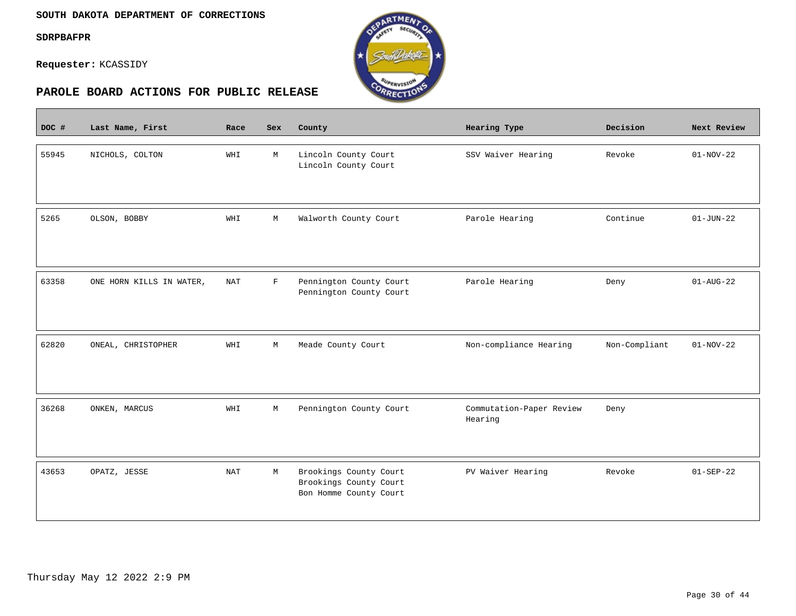$\overline{\phantom{a}}$ 

**Requester:** KCASSIDY



| DOC # | Last Name, First         | Race       | <b>Sex</b>  | County                                                                     | Hearing Type                        | Decision      | Next Review     |
|-------|--------------------------|------------|-------------|----------------------------------------------------------------------------|-------------------------------------|---------------|-----------------|
| 55945 | NICHOLS, COLTON          | WHI        | М           | Lincoln County Court<br>Lincoln County Court                               | SSV Waiver Hearing                  | Revoke        | $01-NOV-22$     |
| 5265  | OLSON, BOBBY             | WHI        | М           | Walworth County Court                                                      | Parole Hearing                      | Continue      | $01 - JUN - 22$ |
| 63358 | ONE HORN KILLS IN WATER, | <b>NAT</b> | $\mathbf F$ | Pennington County Court<br>Pennington County Court                         | Parole Hearing                      | Deny          | $01 - AUG - 22$ |
| 62820 | ONEAL, CHRISTOPHER       | WHI        | $\mathbb M$ | Meade County Court                                                         | Non-compliance Hearing              | Non-Compliant | $01-NOV-22$     |
| 36268 | ONKEN, MARCUS            | WHI        | М           | Pennington County Court                                                    | Commutation-Paper Review<br>Hearing | Deny          |                 |
| 43653 | OPATZ, JESSE             | <b>NAT</b> | М           | Brookings County Court<br>Brookings County Court<br>Bon Homme County Court | PV Waiver Hearing                   | Revoke        | $01 - SEP - 22$ |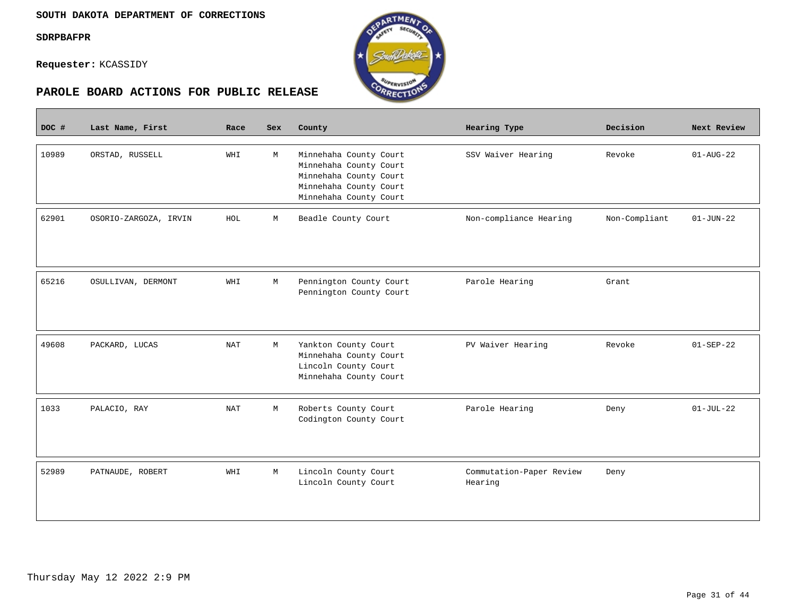$\mathcal{L}^{\text{max}}_{\text{max}}$ 

**Requester:** KCASSIDY



| DOC # | Last Name, First      | Race                 | <b>Sex</b> | County                                                                                                                         | Hearing Type                        | Decision      | Next Review     |
|-------|-----------------------|----------------------|------------|--------------------------------------------------------------------------------------------------------------------------------|-------------------------------------|---------------|-----------------|
| 10989 | ORSTAD, RUSSELL       | WHI                  | M          | Minnehaha County Court<br>Minnehaha County Court<br>Minnehaha County Court<br>Minnehaha County Court<br>Minnehaha County Court | SSV Waiver Hearing                  | Revoke        | $01 - AUG - 22$ |
| 62901 | OSORIO-ZARGOZA, IRVIN | HOL                  | М          | Beadle County Court                                                                                                            | Non-compliance Hearing              | Non-Compliant | $01 - JUN - 22$ |
| 65216 | OSULLIVAN, DERMONT    | WHI                  | М          | Pennington County Court<br>Pennington County Court                                                                             | Parole Hearing                      | Grant         |                 |
| 49608 | PACKARD, LUCAS        | <b>NAT</b>           | М          | Yankton County Court<br>Minnehaha County Court<br>Lincoln County Court<br>Minnehaha County Court                               | PV Waiver Hearing                   | Revoke        | $01 - SEP - 22$ |
| 1033  | PALACIO, RAY          | $\operatorname{NAT}$ | М          | Roberts County Court<br>Codington County Court                                                                                 | Parole Hearing                      | Deny          | $01-JUL-22$     |
| 52989 | PATNAUDE, ROBERT      | WHI                  | М          | Lincoln County Court<br>Lincoln County Court                                                                                   | Commutation-Paper Review<br>Hearing | Deny          |                 |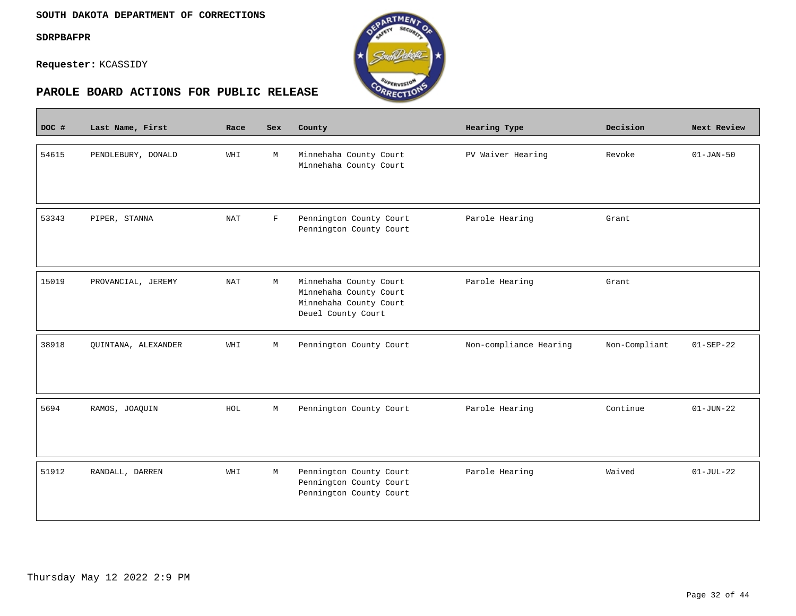$\overline{\phantom{a}}$ 

**Requester:** KCASSIDY



| DOC # | Last Name, First    | Race                 | Sex         | County                                                                                           | Hearing Type           | Decision      | Next Review     |
|-------|---------------------|----------------------|-------------|--------------------------------------------------------------------------------------------------|------------------------|---------------|-----------------|
| 54615 | PENDLEBURY, DONALD  | WHI                  | M           | Minnehaha County Court<br>Minnehaha County Court                                                 | PV Waiver Hearing      | Revoke        | $01 - JAN-50$   |
| 53343 | PIPER, STANNA       | $\operatorname{NAT}$ | $\mathbf F$ | Pennington County Court<br>Pennington County Court                                               | Parole Hearing         | Grant         |                 |
| 15019 | PROVANCIAL, JEREMY  | <b>NAT</b>           | М           | Minnehaha County Court<br>Minnehaha County Court<br>Minnehaha County Court<br>Deuel County Court | Parole Hearing         | Grant         |                 |
| 38918 | QUINTANA, ALEXANDER | WHI                  | М           | Pennington County Court                                                                          | Non-compliance Hearing | Non-Compliant | $01-SEP-22$     |
| 5694  | RAMOS, JOAQUIN      | HOL                  | М           | Pennington County Court                                                                          | Parole Hearing         | Continue      | $01 - JUN - 22$ |
| 51912 | RANDALL, DARREN     | WHI                  | М           | Pennington County Court<br>Pennington County Court<br>Pennington County Court                    | Parole Hearing         | Waived        | $01-JUL-22$     |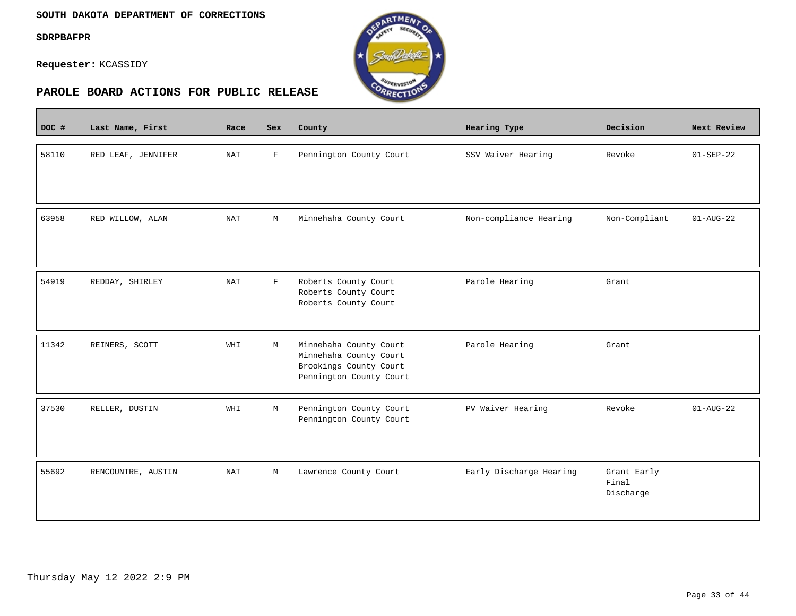$\equiv$ 

**Requester:** KCASSIDY



| DOC # | Last Name, First   | Race       | <b>Sex</b>   | County                                                                                                | Hearing Type            | Decision                          | Next Review            |
|-------|--------------------|------------|--------------|-------------------------------------------------------------------------------------------------------|-------------------------|-----------------------------------|------------------------|
| 58110 | RED LEAF, JENNIFER | <b>NAT</b> | $\mathbf F$  | Pennington County Court                                                                               | SSV Waiver Hearing      | Revoke                            | $01 - SEP - 22$        |
| 63958 | RED WILLOW, ALAN   | <b>NAT</b> | M            | Minnehaha County Court                                                                                | Non-compliance Hearing  | Non-Compliant                     | $01 - \text{AUG} - 22$ |
| 54919 | REDDAY, SHIRLEY    | <b>NAT</b> | $\mathbf{F}$ | Roberts County Court<br>Roberts County Court<br>Roberts County Court                                  | Parole Hearing          | Grant                             |                        |
| 11342 | REINERS, SCOTT     | WHI        | М            | Minnehaha County Court<br>Minnehaha County Court<br>Brookings County Court<br>Pennington County Court | Parole Hearing          | Grant                             |                        |
| 37530 | RELLER, DUSTIN     | WHI        | M            | Pennington County Court<br>Pennington County Court                                                    | PV Waiver Hearing       | Revoke                            | $01 - \text{AUG} - 22$ |
| 55692 | RENCOUNTRE, AUSTIN | NAT        | М            | Lawrence County Court                                                                                 | Early Discharge Hearing | Grant Early<br>Final<br>Discharge |                        |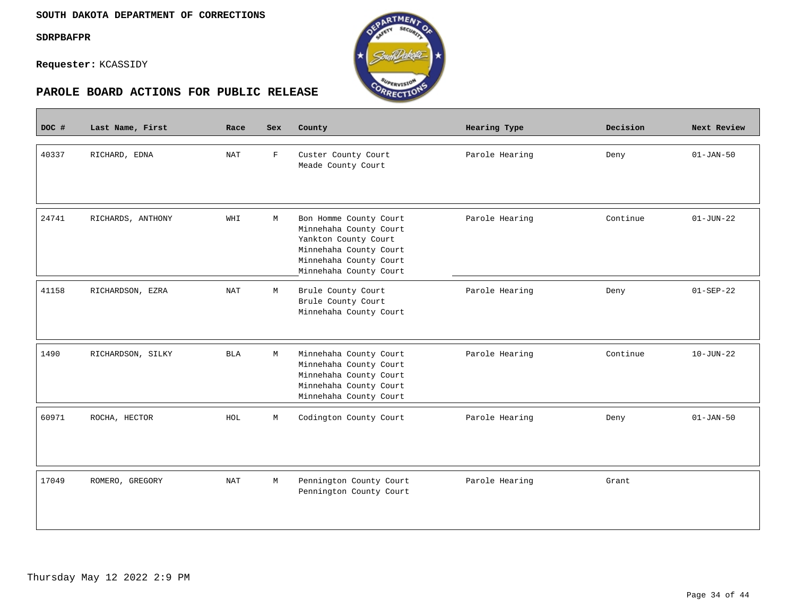$\mathcal{L}^{\text{max}}_{\text{max}}$ 

**Requester:** KCASSIDY



| DOC # | Last Name, First  | Race       | Sex          | County                                                                                                                                                 | Hearing Type   | Decision | Next Review     |
|-------|-------------------|------------|--------------|--------------------------------------------------------------------------------------------------------------------------------------------------------|----------------|----------|-----------------|
| 40337 | RICHARD, EDNA     | <b>NAT</b> | $\mathbf{F}$ | Custer County Court<br>Meade County Court                                                                                                              | Parole Hearing | Deny     | $01 - JAN - 50$ |
| 24741 | RICHARDS, ANTHONY | WHI        | М            | Bon Homme County Court<br>Minnehaha County Court<br>Yankton County Court<br>Minnehaha County Court<br>Minnehaha County Court<br>Minnehaha County Court | Parole Hearing | Continue | $01 - JUN - 22$ |
| 41158 | RICHARDSON, EZRA  | <b>NAT</b> | М            | Brule County Court<br>Brule County Court<br>Minnehaha County Court                                                                                     | Parole Hearing | Deny     | $01 - SEP - 22$ |
| 1490  | RICHARDSON, SILKY | <b>BLA</b> | M            | Minnehaha County Court<br>Minnehaha County Court<br>Minnehaha County Court<br>Minnehaha County Court<br>Minnehaha County Court                         | Parole Hearing | Continue | $10 - JUN - 22$ |
| 60971 | ROCHA, HECTOR     | HOL        | М            | Codington County Court                                                                                                                                 | Parole Hearing | Deny     | $01 - JAN - 50$ |
| 17049 | ROMERO, GREGORY   | NAT        | М            | Pennington County Court<br>Pennington County Court                                                                                                     | Parole Hearing | Grant    |                 |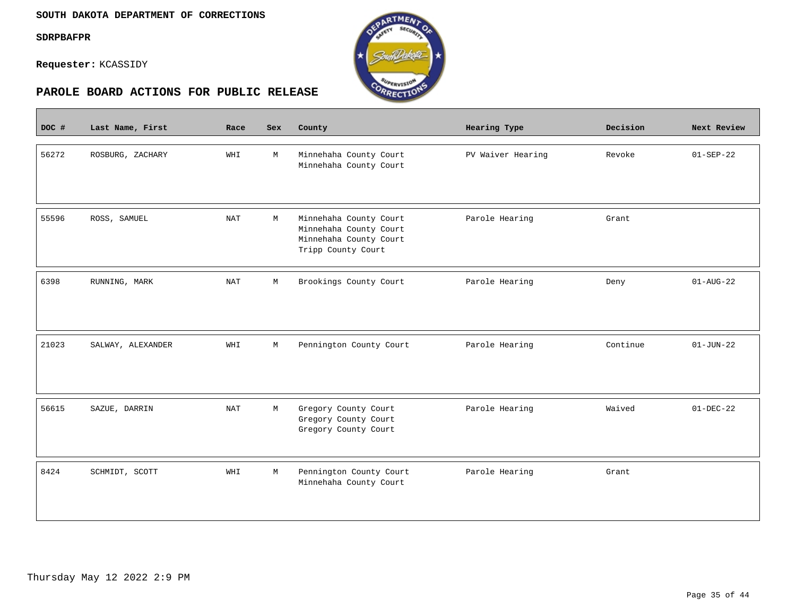$\overline{\phantom{a}}$ 

**Requester:** KCASSIDY



| DOC # | Last Name, First  | Race       | <b>Sex</b>  | County                                                                                           | <b>Hearing Type</b> | Decision | Next Review     |
|-------|-------------------|------------|-------------|--------------------------------------------------------------------------------------------------|---------------------|----------|-----------------|
| 56272 | ROSBURG, ZACHARY  | WHI        | M           | Minnehaha County Court<br>Minnehaha County Court                                                 | PV Waiver Hearing   | Revoke   | $01 - SEP - 22$ |
| 55596 | ROSS, SAMUEL      | <b>NAT</b> | М           | Minnehaha County Court<br>Minnehaha County Court<br>Minnehaha County Court<br>Tripp County Court | Parole Hearing      | Grant    |                 |
| 6398  | RUNNING, MARK     | <b>NAT</b> | M           | Brookings County Court                                                                           | Parole Hearing      | Deny     | $01 - AUG - 22$ |
| 21023 | SALWAY, ALEXANDER | WHI        | $\mathbb M$ | Pennington County Court                                                                          | Parole Hearing      | Continue | $01 - JUN - 22$ |
| 56615 | SAZUE, DARRIN     | <b>NAT</b> | M           | Gregory County Court<br>Gregory County Court<br>Gregory County Court                             | Parole Hearing      | Waived   | $01-DEC-22$     |
| 8424  | SCHMIDT, SCOTT    | WHI        | М           | Pennington County Court<br>Minnehaha County Court                                                | Parole Hearing      | Grant    |                 |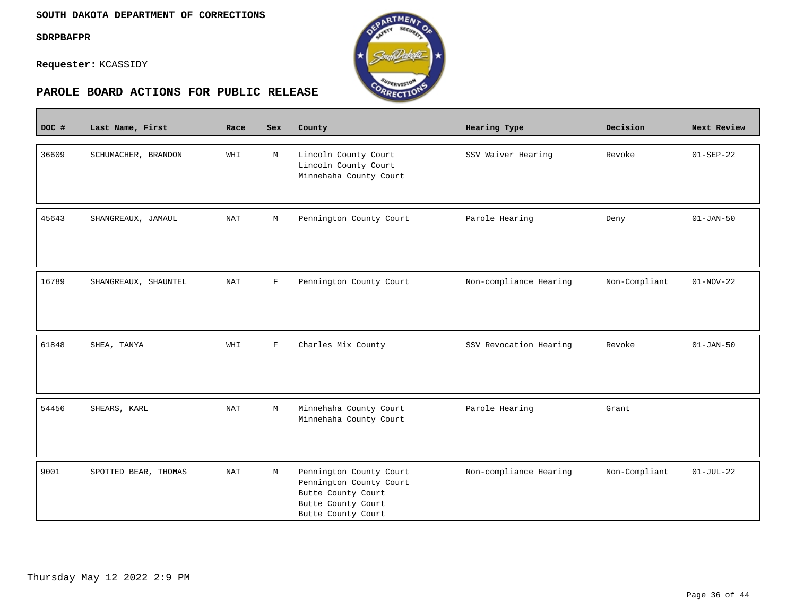$\sim$ 

**Requester:** KCASSIDY



| DOC # | Last Name, First     | Race                 | <b>Sex</b>   | County                                                                                                               | Hearing Type           | Decision      | Next Review     |
|-------|----------------------|----------------------|--------------|----------------------------------------------------------------------------------------------------------------------|------------------------|---------------|-----------------|
| 36609 | SCHUMACHER, BRANDON  | WHI                  | M            | Lincoln County Court<br>Lincoln County Court<br>Minnehaha County Court                                               | SSV Waiver Hearing     | Revoke        | $01 - SEP - 22$ |
| 45643 | SHANGREAUX, JAMAUL   | NAT                  | М            | Pennington County Court                                                                                              | Parole Hearing         | Deny          | $01 - JAN - 50$ |
| 16789 | SHANGREAUX, SHAUNTEL | NAT                  | $\mathbf F$  | Pennington County Court                                                                                              | Non-compliance Hearing | Non-Compliant | $01-NOV-22$     |
| 61848 | SHEA, TANYA          | WHI                  | $\mathbf{F}$ | Charles Mix County                                                                                                   | SSV Revocation Hearing | Revoke        | $01 - JAN - 50$ |
| 54456 | SHEARS, KARL         | NAT                  | M            | Minnehaha County Court<br>Minnehaha County Court                                                                     | Parole Hearing         | Grant         |                 |
| 9001  | SPOTTED BEAR, THOMAS | $\operatorname{NAT}$ | М            | Pennington County Court<br>Pennington County Court<br>Butte County Court<br>Butte County Court<br>Butte County Court | Non-compliance Hearing | Non-Compliant | $01-JUL-22$     |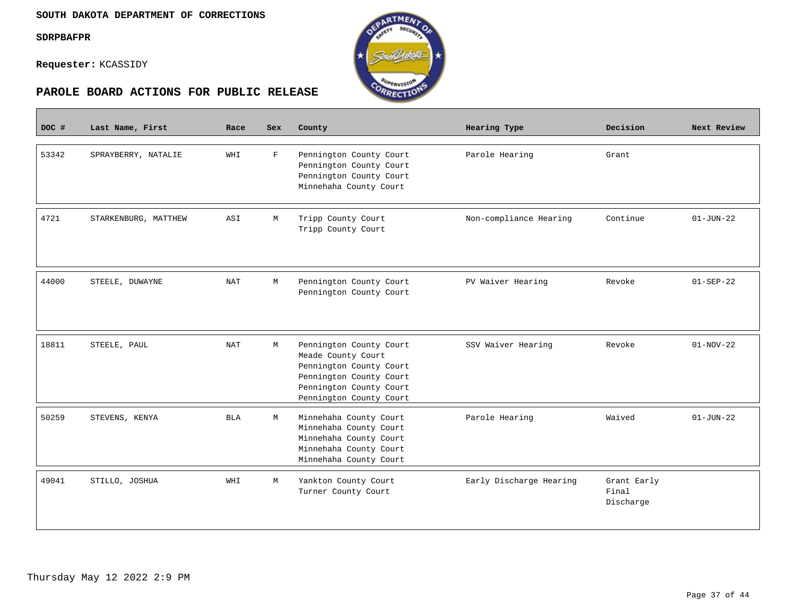**Contract** 

**Requester:** KCASSIDY



| DOC # | Last Name, First     | Race       | <b>Sex</b>  | County                                                                                                                                                    | Hearing Type            | Decision                          | Next Review     |
|-------|----------------------|------------|-------------|-----------------------------------------------------------------------------------------------------------------------------------------------------------|-------------------------|-----------------------------------|-----------------|
| 53342 | SPRAYBERRY, NATALIE  | WHI        | $\mathbf F$ | Pennington County Court<br>Pennington County Court<br>Pennington County Court<br>Minnehaha County Court                                                   | Parole Hearing          | Grant                             |                 |
| 4721  | STARKENBURG, MATTHEW | ASI        | М           | Tripp County Court<br>Tripp County Court                                                                                                                  | Non-compliance Hearing  | Continue                          | $01 - JUN - 22$ |
| 44000 | STEELE, DUWAYNE      | <b>NAT</b> | М           | Pennington County Court<br>Pennington County Court                                                                                                        | PV Waiver Hearing       | Revoke                            | $01 - SEP - 22$ |
| 18811 | STEELE, PAUL         | <b>NAT</b> | М           | Pennington County Court<br>Meade County Court<br>Pennington County Court<br>Pennington County Court<br>Pennington County Court<br>Pennington County Court | SSV Waiver Hearing      | Revoke                            | $01-NOV-22$     |
| 50259 | STEVENS, KENYA       | <b>BLA</b> | M           | Minnehaha County Court<br>Minnehaha County Court<br>Minnehaha County Court<br>Minnehaha County Court<br>Minnehaha County Court                            | Parole Hearing          | Waived                            | $01 - JUN - 22$ |
| 49041 | STILLO, JOSHUA       | WHI        | М           | Yankton County Court<br>Turner County Court                                                                                                               | Early Discharge Hearing | Grant Early<br>Final<br>Discharge |                 |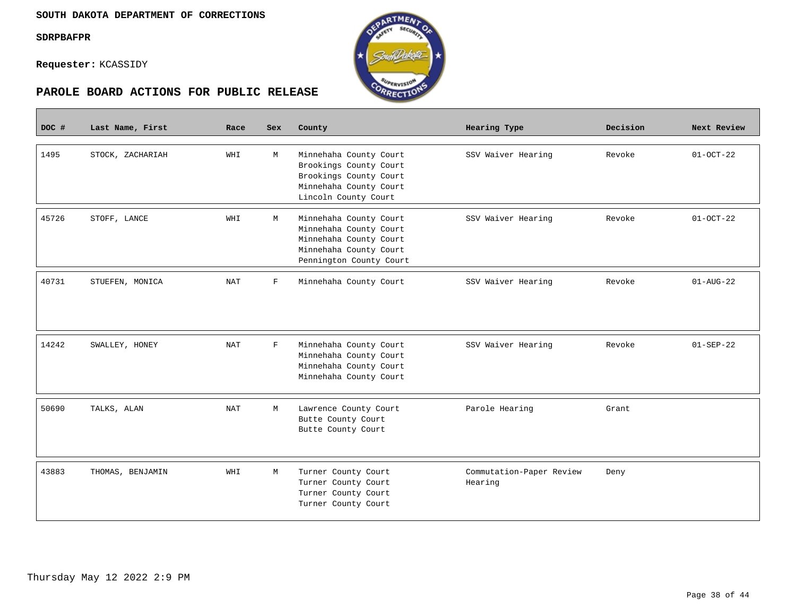П

**Requester:** KCASSIDY



| DOC # | Last Name, First | Race       | Sex          | County                                                                                                                          | Hearing Type                        | Decision | Next Review     |
|-------|------------------|------------|--------------|---------------------------------------------------------------------------------------------------------------------------------|-------------------------------------|----------|-----------------|
| 1495  | STOCK, ZACHARIAH | WHI        | М            | Minnehaha County Court<br>Brookings County Court<br>Brookings County Court<br>Minnehaha County Court<br>Lincoln County Court    | SSV Waiver Hearing                  | Revoke   | $01-0CT-22$     |
| 45726 | STOFF, LANCE     | WHI        | М            | Minnehaha County Court<br>Minnehaha County Court<br>Minnehaha County Court<br>Minnehaha County Court<br>Pennington County Court | SSV Waiver Hearing                  | Revoke   | $01-0CT-22$     |
| 40731 | STUEFEN, MONICA  | NAT        | F            | Minnehaha County Court                                                                                                          | SSV Waiver Hearing                  | Revoke   | $01 - AUG - 22$ |
| 14242 | SWALLEY, HONEY   | <b>NAT</b> | $\mathbf{F}$ | Minnehaha County Court<br>Minnehaha County Court<br>Minnehaha County Court<br>Minnehaha County Court                            | SSV Waiver Hearing                  | Revoke   | $01 - SEP - 22$ |
| 50690 | TALKS, ALAN      | <b>NAT</b> | М            | Lawrence County Court<br>Butte County Court<br>Butte County Court                                                               | Parole Hearing                      | Grant    |                 |
| 43883 | THOMAS, BENJAMIN | WHI        | М            | Turner County Court<br>Turner County Court<br>Turner County Court<br>Turner County Court                                        | Commutation-Paper Review<br>Hearing | Deny     |                 |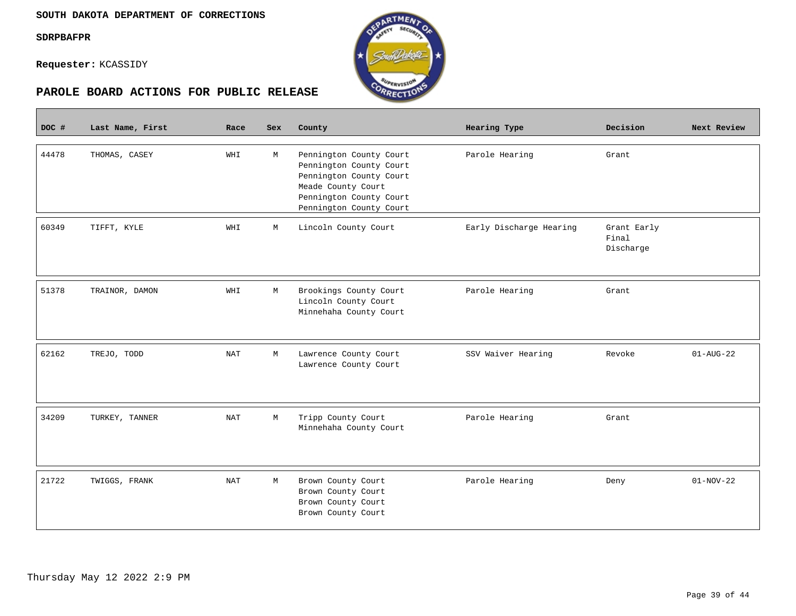



| DOC # | Last Name, First | Race | Sex         | County                                                                                                                                                    | Hearing Type            | Decision                          | Next Review     |
|-------|------------------|------|-------------|-----------------------------------------------------------------------------------------------------------------------------------------------------------|-------------------------|-----------------------------------|-----------------|
| 44478 | THOMAS, CASEY    | WHI  | М           | Pennington County Court<br>Pennington County Court<br>Pennington County Court<br>Meade County Court<br>Pennington County Court<br>Pennington County Court | Parole Hearing          | Grant                             |                 |
| 60349 | TIFFT, KYLE      | WHI  | М           | Lincoln County Court                                                                                                                                      | Early Discharge Hearing | Grant Early<br>Final<br>Discharge |                 |
| 51378 | TRAINOR, DAMON   | WHI  | М           | Brookings County Court<br>Lincoln County Court<br>Minnehaha County Court                                                                                  | Parole Hearing          | Grant                             |                 |
| 62162 | TREJO, TODD      | NAT  | $\mathbb M$ | Lawrence County Court<br>Lawrence County Court                                                                                                            | SSV Waiver Hearing      | Revoke                            | $01 - AUG - 22$ |
| 34209 | TURKEY, TANNER   | NAT  | М           | Tripp County Court<br>Minnehaha County Court                                                                                                              | Parole Hearing          | Grant                             |                 |
| 21722 | TWIGGS, FRANK    | NAT  | М           | Brown County Court<br>Brown County Court<br>Brown County Court<br>Brown County Court                                                                      | Parole Hearing          | Deny                              | $01-NOV-22$     |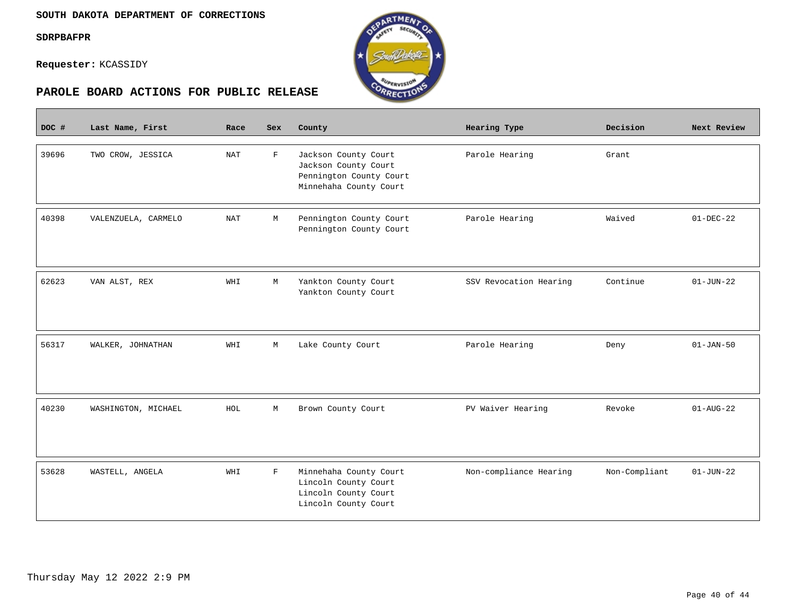$\mathcal{L}^{\text{max}}_{\text{max}}$ 

**Requester:** KCASSIDY



| DOC # | Last Name, First    | Race       | Sex         | County                                                                                            | Hearing Type           | Decision      | Next Review     |
|-------|---------------------|------------|-------------|---------------------------------------------------------------------------------------------------|------------------------|---------------|-----------------|
| 39696 | TWO CROW, JESSICA   | <b>NAT</b> | $\mathbf F$ | Jackson County Court<br>Jackson County Court<br>Pennington County Court<br>Minnehaha County Court | Parole Hearing         | Grant         |                 |
| 40398 | VALENZUELA, CARMELO | NAT        | М           | Pennington County Court<br>Pennington County Court                                                | Parole Hearing         | Waived        | $01-DEC-22$     |
| 62623 | VAN ALST, REX       | WHI        | М           | Yankton County Court<br>Yankton County Court                                                      | SSV Revocation Hearing | Continue      | $01 - JUN - 22$ |
| 56317 | WALKER, JOHNATHAN   | WHI        | М           | Lake County Court                                                                                 | Parole Hearing         | Deny          | $01 - JAN - 50$ |
| 40230 | WASHINGTON, MICHAEL | HOL        | М           | Brown County Court                                                                                | PV Waiver Hearing      | Revoke        | $01 - AUG - 22$ |
| 53628 | WASTELL, ANGELA     | WHI        | $\mathbf F$ | Minnehaha County Court<br>Lincoln County Court<br>Lincoln County Court<br>Lincoln County Court    | Non-compliance Hearing | Non-Compliant | $01 - JUN - 22$ |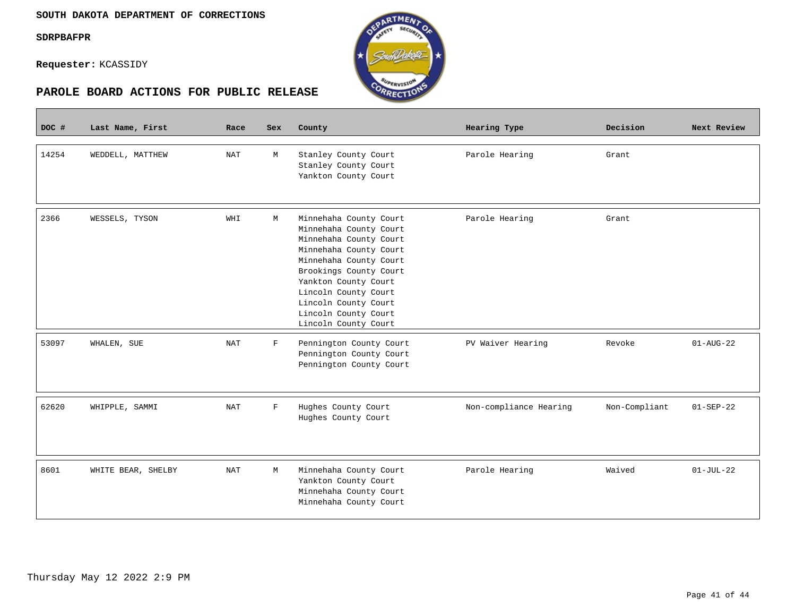$\overline{\phantom{a}}$ 

**Requester:** KCASSIDY



| DOC # | Last Name, First   | Race       | <b>Sex</b>  | County                                                                                                                                                                                                                                                                           | Hearing Type           | Decision      | Next Review            |
|-------|--------------------|------------|-------------|----------------------------------------------------------------------------------------------------------------------------------------------------------------------------------------------------------------------------------------------------------------------------------|------------------------|---------------|------------------------|
| 14254 | WEDDELL, MATTHEW   | NAT        | M           | Stanley County Court<br>Stanley County Court<br>Yankton County Court                                                                                                                                                                                                             | Parole Hearing         | Grant         |                        |
| 2366  | WESSELS, TYSON     | WHI        | M           | Minnehaha County Court<br>Minnehaha County Court<br>Minnehaha County Court<br>Minnehaha County Court<br>Minnehaha County Court<br>Brookings County Court<br>Yankton County Court<br>Lincoln County Court<br>Lincoln County Court<br>Lincoln County Court<br>Lincoln County Court | Parole Hearing         | Grant         |                        |
| 53097 | WHALEN, SUE        | NAT        | F           | Pennington County Court<br>Pennington County Court<br>Pennington County Court                                                                                                                                                                                                    | PV Waiver Hearing      | Revoke        | $01 - \text{AUG} - 22$ |
| 62620 | WHIPPLE, SAMMI     | <b>NAT</b> | $\mathbf F$ | Hughes County Court<br>Hughes County Court                                                                                                                                                                                                                                       | Non-compliance Hearing | Non-Compliant | $01 - SEP - 22$        |
| 8601  | WHITE BEAR, SHELBY | <b>NAT</b> | М           | Minnehaha County Court<br>Yankton County Court<br>Minnehaha County Court<br>Minnehaha County Court                                                                                                                                                                               | Parole Hearing         | Waived        | $01-JUL-22$            |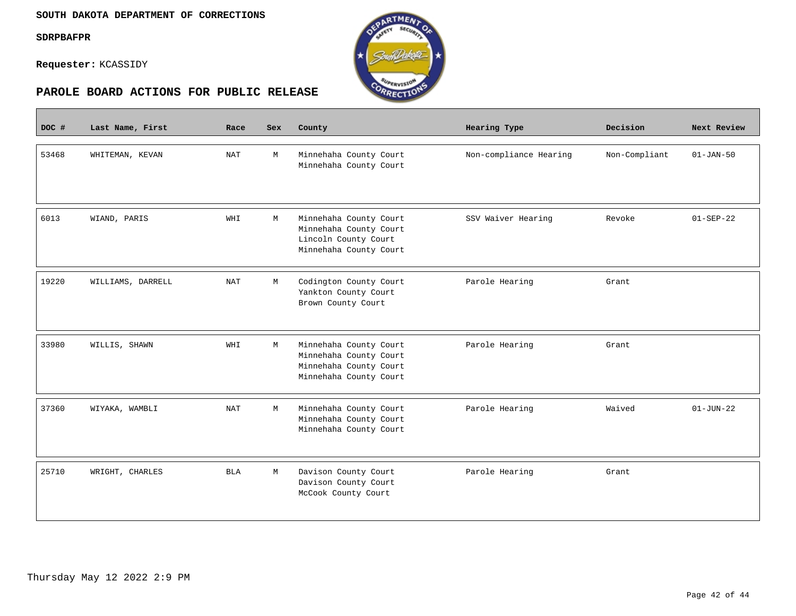**The Company** 





| DOC # | Last Name, First  | Race       | <b>Sex</b> | County                                                                                               | Hearing Type           | Decision      | Next Review     |
|-------|-------------------|------------|------------|------------------------------------------------------------------------------------------------------|------------------------|---------------|-----------------|
| 53468 | WHITEMAN, KEVAN   | <b>NAT</b> | M          | Minnehaha County Court<br>Minnehaha County Court                                                     | Non-compliance Hearing | Non-Compliant | $01-JAN-50$     |
| 6013  | WIAND, PARIS      | WHI        | M          | Minnehaha County Court<br>Minnehaha County Court<br>Lincoln County Court<br>Minnehaha County Court   | SSV Waiver Hearing     | Revoke        | $01-SEP-22$     |
| 19220 | WILLIAMS, DARRELL | <b>NAT</b> | М          | Codington County Court<br>Yankton County Court<br>Brown County Court                                 | Parole Hearing         | Grant         |                 |
| 33980 | WILLIS, SHAWN     | WHI        | M          | Minnehaha County Court<br>Minnehaha County Court<br>Minnehaha County Court<br>Minnehaha County Court | Parole Hearing         | Grant         |                 |
| 37360 | WIYAKA, WAMBLI    | NAT        | М          | Minnehaha County Court<br>Minnehaha County Court<br>Minnehaha County Court                           | Parole Hearing         | Waived        | $01 - JUN - 22$ |
| 25710 | WRIGHT, CHARLES   | <b>BLA</b> | M          | Davison County Court<br>Davison County Court<br>McCook County Court                                  | Parole Hearing         | Grant         |                 |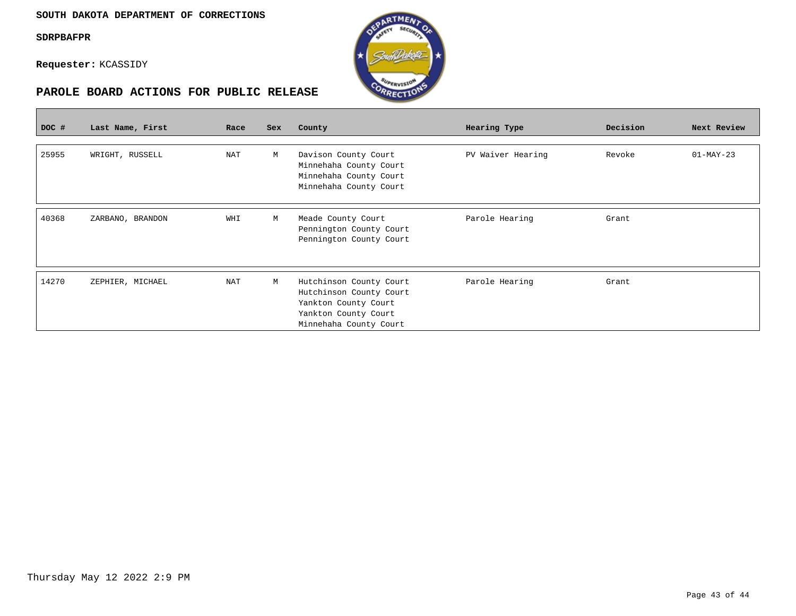



| DOC # | Last Name, First | Race | <b>Sex</b> | County                                                                                                                       | Hearing Type      | Decision | Next Review |
|-------|------------------|------|------------|------------------------------------------------------------------------------------------------------------------------------|-------------------|----------|-------------|
| 25955 | WRIGHT, RUSSELL  | NAT  | М          | Davison County Court<br>Minnehaha County Court<br>Minnehaha County Court<br>Minnehaha County Court                           | PV Waiver Hearing | Revoke   | $01-MAY-23$ |
| 40368 | ZARBANO, BRANDON | WHI  | М          | Meade County Court<br>Pennington County Court<br>Pennington County Court                                                     | Parole Hearing    | Grant    |             |
| 14270 | ZEPHIER, MICHAEL | NAT  | М          | Hutchinson County Court<br>Hutchinson County Court<br>Yankton County Court<br>Yankton County Court<br>Minnehaha County Court | Parole Hearing    | Grant    |             |